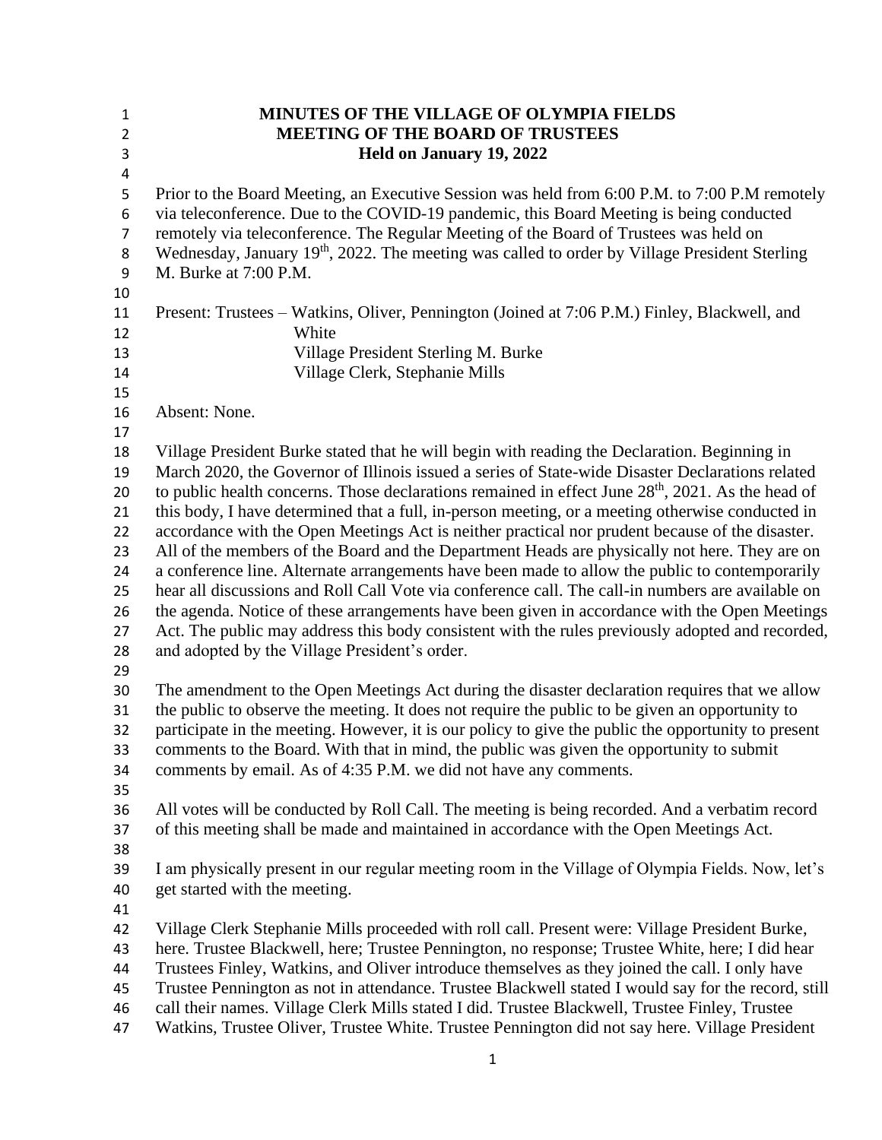| $\mathbf{1}$   | <b>MINUTES OF THE VILLAGE OF OLYMPIA FIELDS</b>                                                                                                                                                 |
|----------------|-------------------------------------------------------------------------------------------------------------------------------------------------------------------------------------------------|
| $\overline{2}$ | <b>MEETING OF THE BOARD OF TRUSTEES</b>                                                                                                                                                         |
| $\mathsf 3$    | Held on January 19, 2022                                                                                                                                                                        |
| 4              |                                                                                                                                                                                                 |
| 5              | Prior to the Board Meeting, an Executive Session was held from 6:00 P.M. to 7:00 P.M remotely                                                                                                   |
| 6              | via teleconference. Due to the COVID-19 pandemic, this Board Meeting is being conducted                                                                                                         |
| $\overline{7}$ | remotely via teleconference. The Regular Meeting of the Board of Trustees was held on                                                                                                           |
| 8              | Wednesday, January 19 <sup>th</sup> , 2022. The meeting was called to order by Village President Sterling                                                                                       |
| 9              | M. Burke at 7:00 P.M.                                                                                                                                                                           |
| 10             |                                                                                                                                                                                                 |
| 11             | Present: Trustees – Watkins, Oliver, Pennington (Joined at 7:06 P.M.) Finley, Blackwell, and                                                                                                    |
| 12             | White                                                                                                                                                                                           |
| 13             | Village President Sterling M. Burke                                                                                                                                                             |
| 14             | Village Clerk, Stephanie Mills                                                                                                                                                                  |
| 15             |                                                                                                                                                                                                 |
| 16             | Absent: None.                                                                                                                                                                                   |
| 17             |                                                                                                                                                                                                 |
| 18             | Village President Burke stated that he will begin with reading the Declaration. Beginning in                                                                                                    |
| 19             | March 2020, the Governor of Illinois issued a series of State-wide Disaster Declarations related                                                                                                |
| 20             | to public health concerns. Those declarations remained in effect June 28 <sup>th</sup> , 2021. As the head of                                                                                   |
| 21             | this body, I have determined that a full, in-person meeting, or a meeting otherwise conducted in                                                                                                |
| 22             | accordance with the Open Meetings Act is neither practical nor prudent because of the disaster.                                                                                                 |
| 23             | All of the members of the Board and the Department Heads are physically not here. They are on                                                                                                   |
| 24             | a conference line. Alternate arrangements have been made to allow the public to contemporarily                                                                                                  |
| 25             | hear all discussions and Roll Call Vote via conference call. The call-in numbers are available on                                                                                               |
| 26             | the agenda. Notice of these arrangements have been given in accordance with the Open Meetings                                                                                                   |
| 27             | Act. The public may address this body consistent with the rules previously adopted and recorded,                                                                                                |
| 28             | and adopted by the Village President's order.                                                                                                                                                   |
| 29             |                                                                                                                                                                                                 |
| 30             | The amendment to the Open Meetings Act during the disaster declaration requires that we allow                                                                                                   |
| 31             | the public to observe the meeting. It does not require the public to be given an opportunity to                                                                                                 |
| 32             | participate in the meeting. However, it is our policy to give the public the opportunity to present<br>comments to the Board. With that in mind, the public was given the opportunity to submit |
| 33<br>34       | comments by email. As of 4:35 P.M. we did not have any comments.                                                                                                                                |
| 35             |                                                                                                                                                                                                 |
| 36             | All votes will be conducted by Roll Call. The meeting is being recorded. And a verbatim record                                                                                                  |
| 37             | of this meeting shall be made and maintained in accordance with the Open Meetings Act.                                                                                                          |
| 38             |                                                                                                                                                                                                 |
| 39             | I am physically present in our regular meeting room in the Village of Olympia Fields. Now, let's                                                                                                |
| 40             | get started with the meeting.                                                                                                                                                                   |
| 41             |                                                                                                                                                                                                 |
| 42             | Village Clerk Stephanie Mills proceeded with roll call. Present were: Village President Burke,                                                                                                  |
| 43             | here. Trustee Blackwell, here; Trustee Pennington, no response; Trustee White, here; I did hear                                                                                                 |
| 44             | Trustees Finley, Watkins, and Oliver introduce themselves as they joined the call. I only have                                                                                                  |
| 45             | Trustee Pennington as not in attendance. Trustee Blackwell stated I would say for the record, still                                                                                             |
| 46             | call their names. Village Clerk Mills stated I did. Trustee Blackwell, Trustee Finley, Trustee                                                                                                  |
| 47             | Watkins, Trustee Oliver, Trustee White. Trustee Pennington did not say here. Village President                                                                                                  |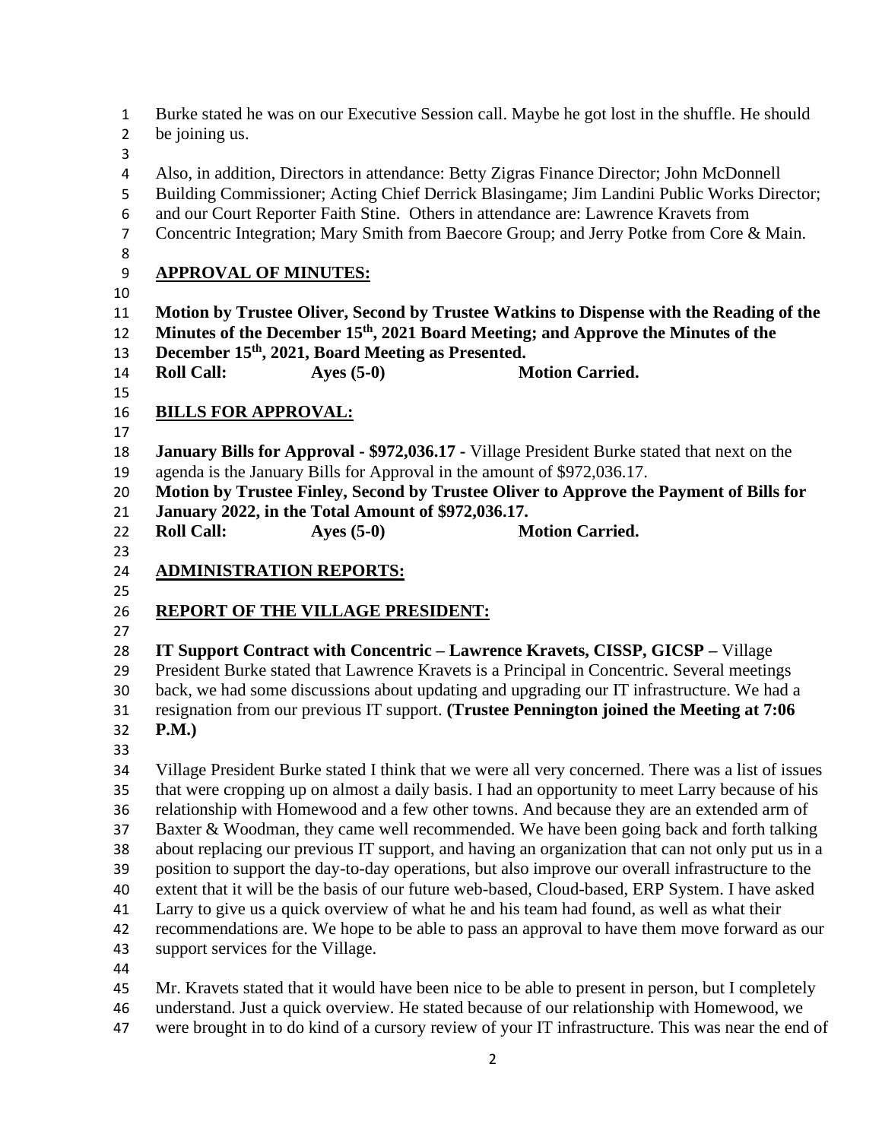| $\mathbf{1}$<br>$\overline{2}$                                       | Burke stated he was on our Executive Session call. Maybe he got lost in the shuffle. He should<br>be joining us.                                                                                                                                                                                                                                                                                                                                                                                                                                                                                                                                                                                                                                                                                                                                                                                                                               |
|----------------------------------------------------------------------|------------------------------------------------------------------------------------------------------------------------------------------------------------------------------------------------------------------------------------------------------------------------------------------------------------------------------------------------------------------------------------------------------------------------------------------------------------------------------------------------------------------------------------------------------------------------------------------------------------------------------------------------------------------------------------------------------------------------------------------------------------------------------------------------------------------------------------------------------------------------------------------------------------------------------------------------|
| 3<br>$\overline{a}$<br>5<br>6                                        | Also, in addition, Directors in attendance: Betty Zigras Finance Director; John McDonnell<br>Building Commissioner; Acting Chief Derrick Blasingame; Jim Landini Public Works Director;<br>and our Court Reporter Faith Stine. Others in attendance are: Lawrence Kravets from                                                                                                                                                                                                                                                                                                                                                                                                                                                                                                                                                                                                                                                                 |
| $\overline{7}$<br>8                                                  | Concentric Integration; Mary Smith from Baecore Group; and Jerry Potke from Core & Main.                                                                                                                                                                                                                                                                                                                                                                                                                                                                                                                                                                                                                                                                                                                                                                                                                                                       |
| 9                                                                    | <b>APPROVAL OF MINUTES:</b>                                                                                                                                                                                                                                                                                                                                                                                                                                                                                                                                                                                                                                                                                                                                                                                                                                                                                                                    |
| 10<br>11<br>12<br>13<br>14<br>15                                     | Motion by Trustee Oliver, Second by Trustee Watkins to Dispense with the Reading of the<br>Minutes of the December 15 <sup>th</sup> , 2021 Board Meeting; and Approve the Minutes of the<br>December 15th, 2021, Board Meeting as Presented.<br><b>Roll Call:</b><br>Ayes $(5-0)$<br><b>Motion Carried.</b>                                                                                                                                                                                                                                                                                                                                                                                                                                                                                                                                                                                                                                    |
| 16                                                                   | <b>BILLS FOR APPROVAL:</b>                                                                                                                                                                                                                                                                                                                                                                                                                                                                                                                                                                                                                                                                                                                                                                                                                                                                                                                     |
| 17<br>18<br>19<br>20<br>21<br>22<br>23                               | <b>January Bills for Approval - \$972,036.17 - Village President Burke stated that next on the</b><br>agenda is the January Bills for Approval in the amount of \$972,036.17.<br>Motion by Trustee Finley, Second by Trustee Oliver to Approve the Payment of Bills for<br>January 2022, in the Total Amount of \$972,036.17.<br>Ayes $(5-0)$<br><b>Roll Call:</b><br><b>Motion Carried.</b>                                                                                                                                                                                                                                                                                                                                                                                                                                                                                                                                                   |
| 24                                                                   | <b>ADMINISTRATION REPORTS:</b>                                                                                                                                                                                                                                                                                                                                                                                                                                                                                                                                                                                                                                                                                                                                                                                                                                                                                                                 |
| 25<br>26                                                             | <b>REPORT OF THE VILLAGE PRESIDENT:</b>                                                                                                                                                                                                                                                                                                                                                                                                                                                                                                                                                                                                                                                                                                                                                                                                                                                                                                        |
| 27<br>28<br>29<br>30<br>31<br>32                                     | IT Support Contract with Concentric - Lawrence Kravets, CISSP, GICSP - Village<br>President Burke stated that Lawrence Kravets is a Principal in Concentric. Several meetings<br>back, we had some discussions about updating and upgrading our IT infrastructure. We had a<br>resignation from our previous IT support. (Trustee Pennington joined the Meeting at 7:06<br>P.M.)                                                                                                                                                                                                                                                                                                                                                                                                                                                                                                                                                               |
| 33<br>34<br>35<br>36<br>37<br>38<br>39<br>40<br>41<br>42<br>43<br>44 | Village President Burke stated I think that we were all very concerned. There was a list of issues<br>that were cropping up on almost a daily basis. I had an opportunity to meet Larry because of his<br>relationship with Homewood and a few other towns. And because they are an extended arm of<br>Baxter & Woodman, they came well recommended. We have been going back and forth talking<br>about replacing our previous IT support, and having an organization that can not only put us in a<br>position to support the day-to-day operations, but also improve our overall infrastructure to the<br>extent that it will be the basis of our future web-based, Cloud-based, ERP System. I have asked<br>Larry to give us a quick overview of what he and his team had found, as well as what their<br>recommendations are. We hope to be able to pass an approval to have them move forward as our<br>support services for the Village. |
| 45<br>46<br>47                                                       | Mr. Kravets stated that it would have been nice to be able to present in person, but I completely<br>understand. Just a quick overview. He stated because of our relationship with Homewood, we<br>were brought in to do kind of a cursory review of your IT infrastructure. This was near the end of                                                                                                                                                                                                                                                                                                                                                                                                                                                                                                                                                                                                                                          |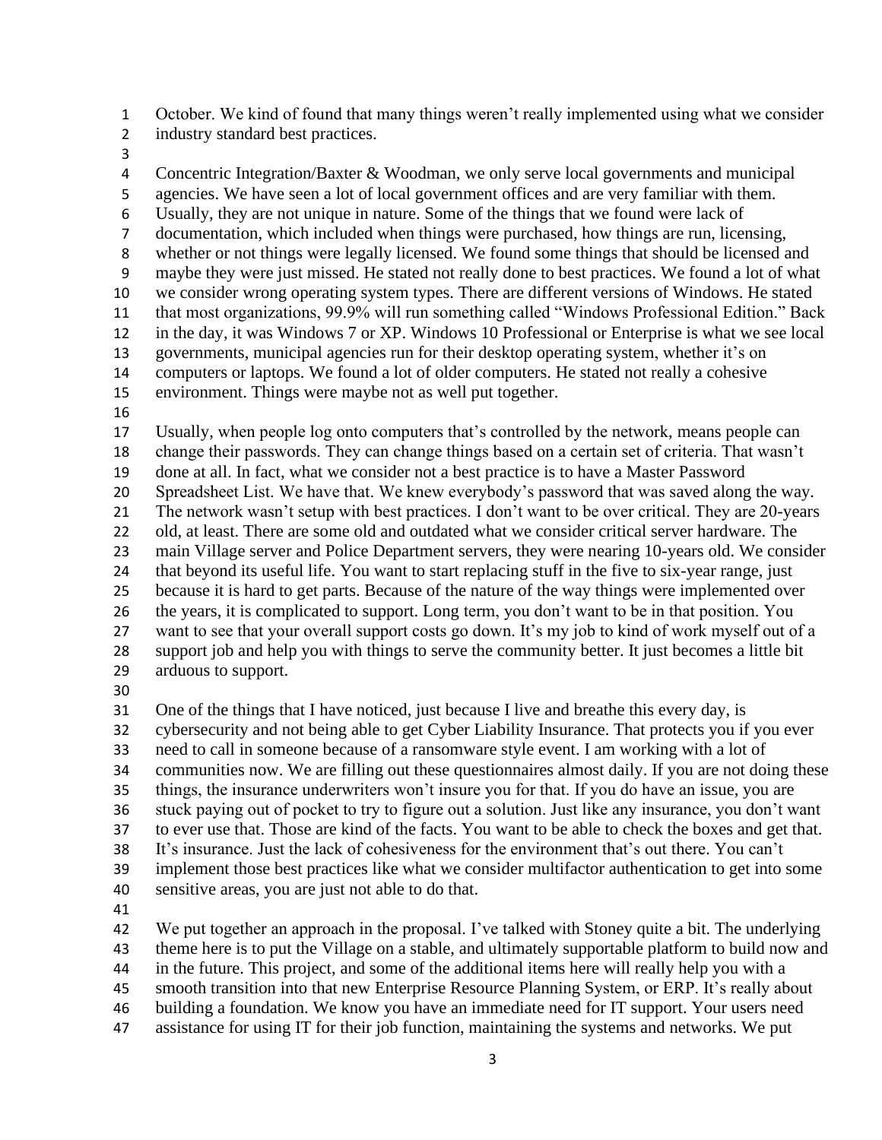October. We kind of found that many things weren't really implemented using what we consider industry standard best practices.

 Concentric Integration/Baxter & Woodman, we only serve local governments and municipal agencies. We have seen a lot of local government offices and are very familiar with them. Usually, they are not unique in nature. Some of the things that we found were lack of documentation, which included when things were purchased, how things are run, licensing, whether or not things were legally licensed. We found some things that should be licensed and maybe they were just missed. He stated not really done to best practices. We found a lot of what we consider wrong operating system types. There are different versions of Windows. He stated that most organizations, 99.9% will run something called "Windows Professional Edition." Back in the day, it was Windows 7 or XP. Windows 10 Professional or Enterprise is what we see local governments, municipal agencies run for their desktop operating system, whether it's on computers or laptops. We found a lot of older computers. He stated not really a cohesive environment. Things were maybe not as well put together. 

 Usually, when people log onto computers that's controlled by the network, means people can change their passwords. They can change things based on a certain set of criteria. That wasn't done at all. In fact, what we consider not a best practice is to have a Master Password Spreadsheet List. We have that. We knew everybody's password that was saved along the way. The network wasn't setup with best practices. I don't want to be over critical. They are 20-years old, at least. There are some old and outdated what we consider critical server hardware. The main Village server and Police Department servers, they were nearing 10-years old. We consider that beyond its useful life. You want to start replacing stuff in the five to six-year range, just because it is hard to get parts. Because of the nature of the way things were implemented over the years, it is complicated to support. Long term, you don't want to be in that position. You want to see that your overall support costs go down. It's my job to kind of work myself out of a support job and help you with things to serve the community better. It just becomes a little bit arduous to support.

One of the things that I have noticed, just because I live and breathe this every day, is

cybersecurity and not being able to get Cyber Liability Insurance. That protects you if you ever

 need to call in someone because of a ransomware style event. I am working with a lot of communities now. We are filling out these questionnaires almost daily. If you are not doing these

things, the insurance underwriters won't insure you for that. If you do have an issue, you are

 stuck paying out of pocket to try to figure out a solution. Just like any insurance, you don't want to ever use that. Those are kind of the facts. You want to be able to check the boxes and get that.

It's insurance. Just the lack of cohesiveness for the environment that's out there. You can't

implement those best practices like what we consider multifactor authentication to get into some

- sensitive areas, you are just not able to do that.
- 

 We put together an approach in the proposal. I've talked with Stoney quite a bit. The underlying theme here is to put the Village on a stable, and ultimately supportable platform to build now and in the future. This project, and some of the additional items here will really help you with a smooth transition into that new Enterprise Resource Planning System, or ERP. It's really about

- building a foundation. We know you have an immediate need for IT support. Your users need
- assistance for using IT for their job function, maintaining the systems and networks. We put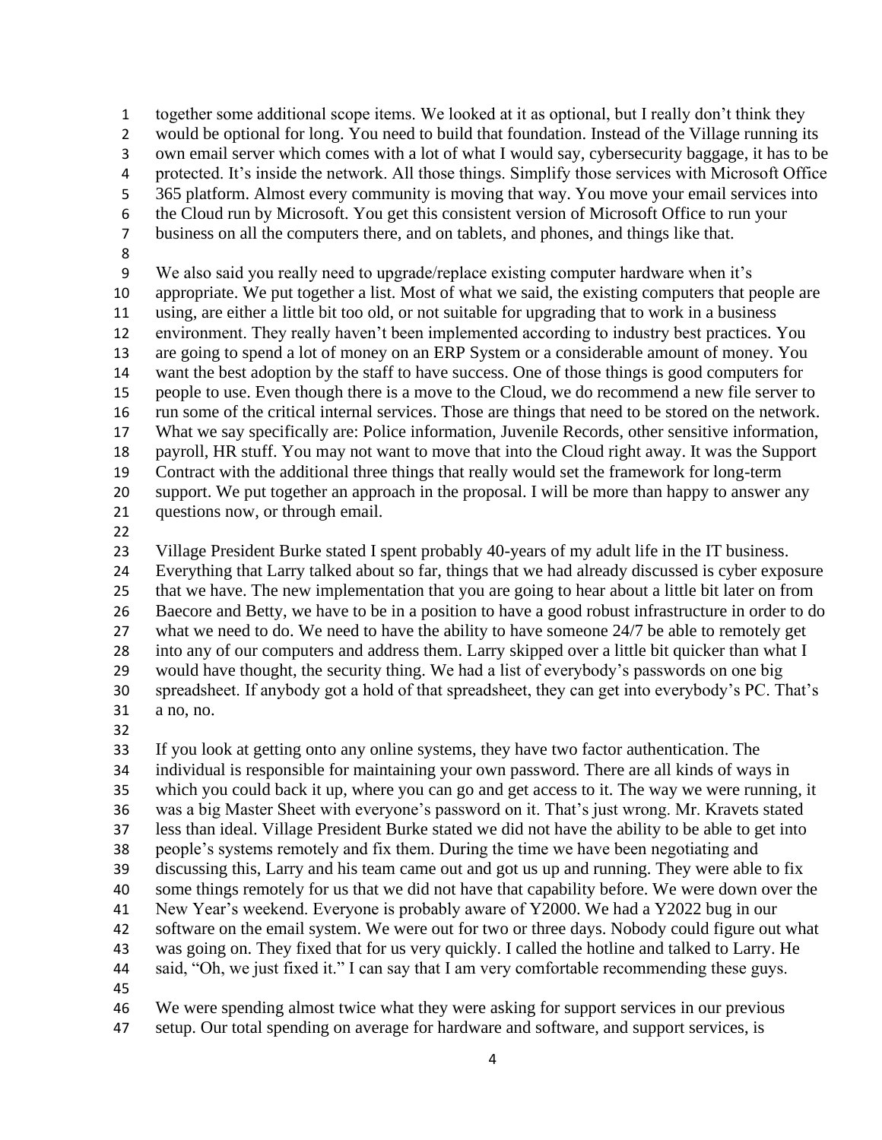together some additional scope items. We looked at it as optional, but I really don't think they would be optional for long. You need to build that foundation. Instead of the Village running its own email server which comes with a lot of what I would say, cybersecurity baggage, it has to be protected. It's inside the network. All those things. Simplify those services with Microsoft Office 365 platform. Almost every community is moving that way. You move your email services into the Cloud run by Microsoft. You get this consistent version of Microsoft Office to run your business on all the computers there, and on tablets, and phones, and things like that. We also said you really need to upgrade/replace existing computer hardware when it's appropriate. We put together a list. Most of what we said, the existing computers that people are using, are either a little bit too old, or not suitable for upgrading that to work in a business environment. They really haven't been implemented according to industry best practices. You are going to spend a lot of money on an ERP System or a considerable amount of money. You want the best adoption by the staff to have success. One of those things is good computers for

 people to use. Even though there is a move to the Cloud, we do recommend a new file server to run some of the critical internal services. Those are things that need to be stored on the network. What we say specifically are: Police information, Juvenile Records, other sensitive information, payroll, HR stuff. You may not want to move that into the Cloud right away. It was the Support Contract with the additional three things that really would set the framework for long-term support. We put together an approach in the proposal. I will be more than happy to answer any

- questions now, or through email.
- 

 Village President Burke stated I spent probably 40-years of my adult life in the IT business. Everything that Larry talked about so far, things that we had already discussed is cyber exposure that we have. The new implementation that you are going to hear about a little bit later on from Baecore and Betty, we have to be in a position to have a good robust infrastructure in order to do what we need to do. We need to have the ability to have someone 24/7 be able to remotely get into any of our computers and address them. Larry skipped over a little bit quicker than what I would have thought, the security thing. We had a list of everybody's passwords on one big spreadsheet. If anybody got a hold of that spreadsheet, they can get into everybody's PC. That's a no, no.

 If you look at getting onto any online systems, they have two factor authentication. The individual is responsible for maintaining your own password. There are all kinds of ways in which you could back it up, where you can go and get access to it. The way we were running, it was a big Master Sheet with everyone's password on it. That's just wrong. Mr. Kravets stated less than ideal. Village President Burke stated we did not have the ability to be able to get into people's systems remotely and fix them. During the time we have been negotiating and discussing this, Larry and his team came out and got us up and running. They were able to fix some things remotely for us that we did not have that capability before. We were down over the New Year's weekend. Everyone is probably aware of Y2000. We had a Y2022 bug in our software on the email system. We were out for two or three days. Nobody could figure out what was going on. They fixed that for us very quickly. I called the hotline and talked to Larry. He said, "Oh, we just fixed it." I can say that I am very comfortable recommending these guys. 

We were spending almost twice what they were asking for support services in our previous

setup. Our total spending on average for hardware and software, and support services, is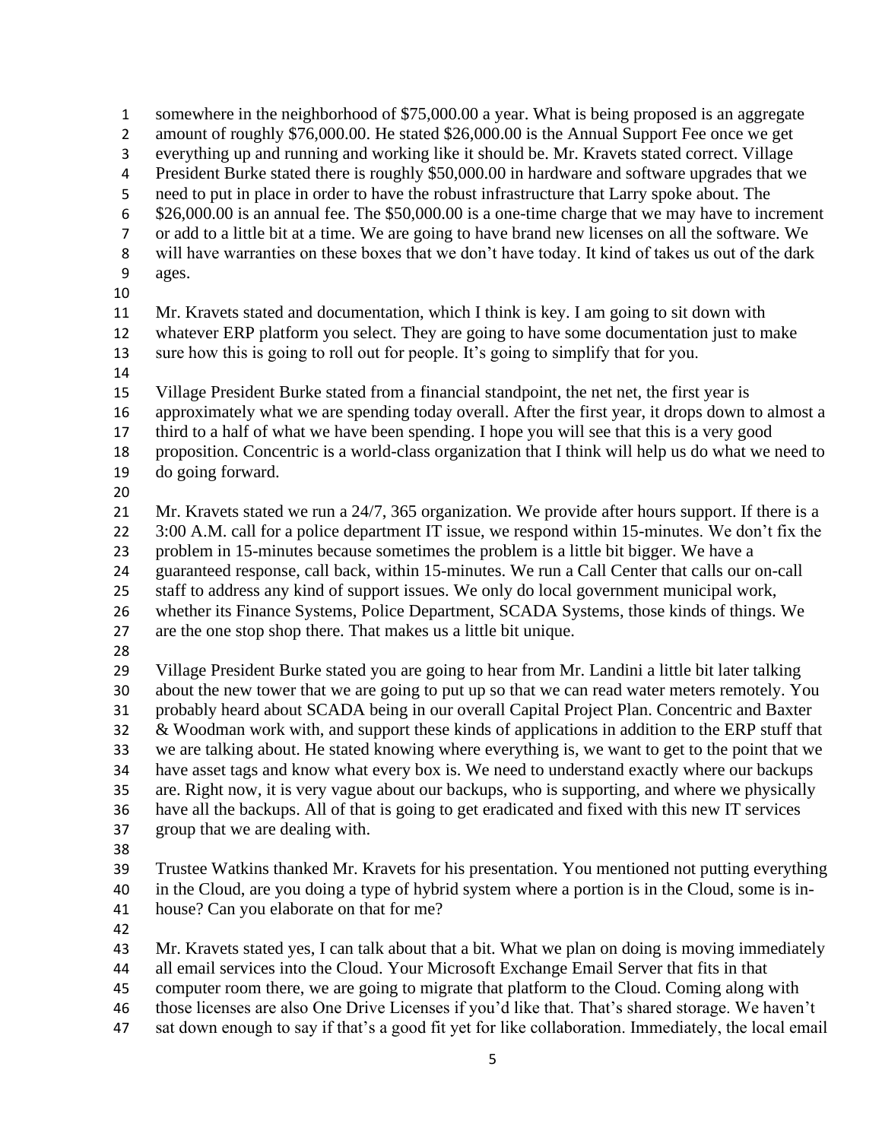somewhere in the neighborhood of \$75,000.00 a year. What is being proposed is an aggregate 2 amount of roughly \$76,000.00. He stated \$26,000.00 is the Annual Support Fee once we get everything up and running and working like it should be. Mr. Kravets stated correct. Village President Burke stated there is roughly \$50,000.00 in hardware and software upgrades that we need to put in place in order to have the robust infrastructure that Larry spoke about. The \$26,000.00 is an annual fee. The \$50,000.00 is a one-time charge that we may have to increment or add to a little bit at a time. We are going to have brand new licenses on all the software. We will have warranties on these boxes that we don't have today. It kind of takes us out of the dark ages. Mr. Kravets stated and documentation, which I think is key. I am going to sit down with whatever ERP platform you select. They are going to have some documentation just to make sure how this is going to roll out for people. It's going to simplify that for you. Village President Burke stated from a financial standpoint, the net net, the first year is approximately what we are spending today overall. After the first year, it drops down to almost a third to a half of what we have been spending. I hope you will see that this is a very good proposition. Concentric is a world-class organization that I think will help us do what we need to do going forward. Mr. Kravets stated we run a 24/7, 365 organization. We provide after hours support. If there is a 22 3:00 A.M. call for a police department IT issue, we respond within 15-minutes. We don't fix the problem in 15-minutes because sometimes the problem is a little bit bigger. We have a guaranteed response, call back, within 15-minutes. We run a Call Center that calls our on-call staff to address any kind of support issues. We only do local government municipal work, whether its Finance Systems, Police Department, SCADA Systems, those kinds of things. We are the one stop shop there. That makes us a little bit unique. Village President Burke stated you are going to hear from Mr. Landini a little bit later talking about the new tower that we are going to put up so that we can read water meters remotely. You probably heard about SCADA being in our overall Capital Project Plan. Concentric and Baxter & Woodman work with, and support these kinds of applications in addition to the ERP stuff that we are talking about. He stated knowing where everything is, we want to get to the point that we have asset tags and know what every box is. We need to understand exactly where our backups are. Right now, it is very vague about our backups, who is supporting, and where we physically have all the backups. All of that is going to get eradicated and fixed with this new IT services group that we are dealing with. Trustee Watkins thanked Mr. Kravets for his presentation. You mentioned not putting everything in the Cloud, are you doing a type of hybrid system where a portion is in the Cloud, some is in- house? Can you elaborate on that for me? Mr. Kravets stated yes, I can talk about that a bit. What we plan on doing is moving immediately all email services into the Cloud. Your Microsoft Exchange Email Server that fits in that computer room there, we are going to migrate that platform to the Cloud. Coming along with those licenses are also One Drive Licenses if you'd like that. That's shared storage. We haven't

sat down enough to say if that's a good fit yet for like collaboration. Immediately, the local email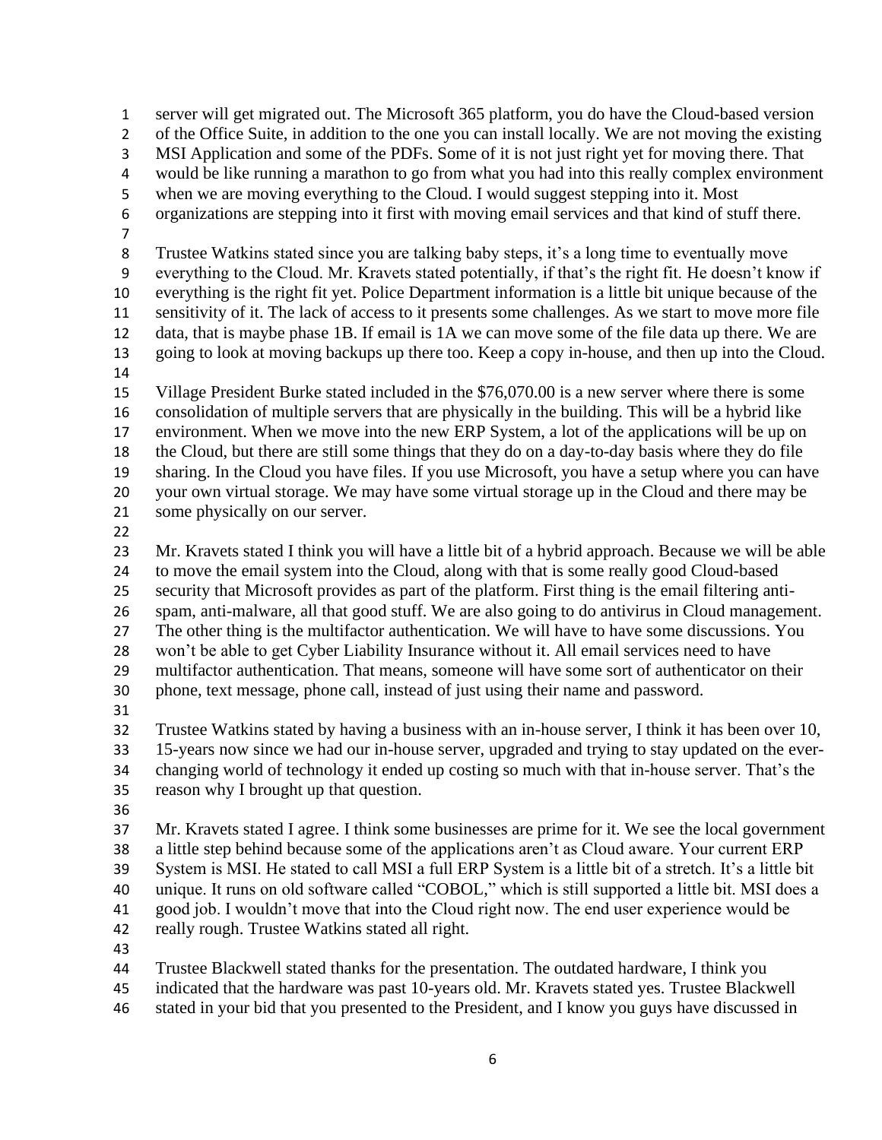server will get migrated out. The Microsoft 365 platform, you do have the Cloud-based version of the Office Suite, in addition to the one you can install locally. We are not moving the existing MSI Application and some of the PDFs. Some of it is not just right yet for moving there. That would be like running a marathon to go from what you had into this really complex environment when we are moving everything to the Cloud. I would suggest stepping into it. Most organizations are stepping into it first with moving email services and that kind of stuff there. Trustee Watkins stated since you are talking baby steps, it's a long time to eventually move everything to the Cloud. Mr. Kravets stated potentially, if that's the right fit. He doesn't know if everything is the right fit yet. Police Department information is a little bit unique because of the sensitivity of it. The lack of access to it presents some challenges. As we start to move more file data, that is maybe phase 1B. If email is 1A we can move some of the file data up there. We are going to look at moving backups up there too. Keep a copy in-house, and then up into the Cloud. Village President Burke stated included in the \$76,070.00 is a new server where there is some consolidation of multiple servers that are physically in the building. This will be a hybrid like environment. When we move into the new ERP System, a lot of the applications will be up on the Cloud, but there are still some things that they do on a day-to-day basis where they do file sharing. In the Cloud you have files. If you use Microsoft, you have a setup where you can have your own virtual storage. We may have some virtual storage up in the Cloud and there may be some physically on our server. Mr. Kravets stated I think you will have a little bit of a hybrid approach. Because we will be able to move the email system into the Cloud, along with that is some really good Cloud-based security that Microsoft provides as part of the platform. First thing is the email filtering anti- spam, anti-malware, all that good stuff. We are also going to do antivirus in Cloud management. The other thing is the multifactor authentication. We will have to have some discussions. You won't be able to get Cyber Liability Insurance without it. All email services need to have multifactor authentication. That means, someone will have some sort of authenticator on their phone, text message, phone call, instead of just using their name and password. Trustee Watkins stated by having a business with an in-house server, I think it has been over 10, 15-years now since we had our in-house server, upgraded and trying to stay updated on the ever- changing world of technology it ended up costing so much with that in-house server. That's the reason why I brought up that question. Mr. Kravets stated I agree. I think some businesses are prime for it. We see the local government a little step behind because some of the applications aren't as Cloud aware. Your current ERP System is MSI. He stated to call MSI a full ERP System is a little bit of a stretch. It's a little bit unique. It runs on old software called "COBOL," which is still supported a little bit. MSI does a good job. I wouldn't move that into the Cloud right now. The end user experience would be really rough. Trustee Watkins stated all right. 

- Trustee Blackwell stated thanks for the presentation. The outdated hardware, I think you indicated that the hardware was past 10-years old. Mr. Kravets stated yes. Trustee Blackwell
- stated in your bid that you presented to the President, and I know you guys have discussed in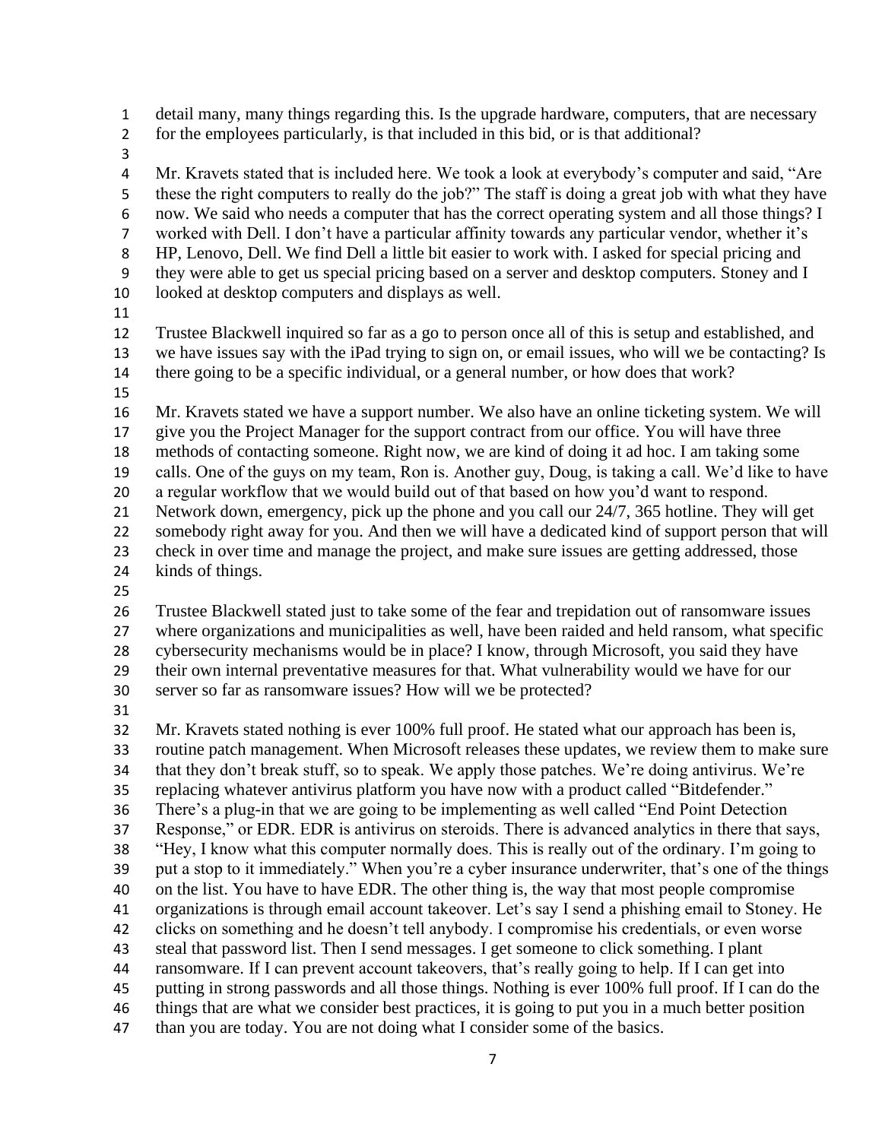detail many, many things regarding this. Is the upgrade hardware, computers, that are necessary

- for the employees particularly, is that included in this bid, or is that additional?
- 

 Mr. Kravets stated that is included here. We took a look at everybody's computer and said, "Are these the right computers to really do the job?" The staff is doing a great job with what they have now. We said who needs a computer that has the correct operating system and all those things? I worked with Dell. I don't have a particular affinity towards any particular vendor, whether it's HP, Lenovo, Dell. We find Dell a little bit easier to work with. I asked for special pricing and they were able to get us special pricing based on a server and desktop computers. Stoney and I looked at desktop computers and displays as well.

 Trustee Blackwell inquired so far as a go to person once all of this is setup and established, and we have issues say with the iPad trying to sign on, or email issues, who will we be contacting? Is there going to be a specific individual, or a general number, or how does that work?

 Mr. Kravets stated we have a support number. We also have an online ticketing system. We will give you the Project Manager for the support contract from our office. You will have three methods of contacting someone. Right now, we are kind of doing it ad hoc. I am taking some calls. One of the guys on my team, Ron is. Another guy, Doug, is taking a call. We'd like to have a regular workflow that we would build out of that based on how you'd want to respond. Network down, emergency, pick up the phone and you call our 24/7, 365 hotline. They will get somebody right away for you. And then we will have a dedicated kind of support person that will check in over time and manage the project, and make sure issues are getting addressed, those

- kinds of things.
- 

 Trustee Blackwell stated just to take some of the fear and trepidation out of ransomware issues where organizations and municipalities as well, have been raided and held ransom, what specific cybersecurity mechanisms would be in place? I know, through Microsoft, you said they have their own internal preventative measures for that. What vulnerability would we have for our server so far as ransomware issues? How will we be protected?

 Mr. Kravets stated nothing is ever 100% full proof. He stated what our approach has been is, routine patch management. When Microsoft releases these updates, we review them to make sure that they don't break stuff, so to speak. We apply those patches. We're doing antivirus. We're replacing whatever antivirus platform you have now with a product called "Bitdefender." There's a plug-in that we are going to be implementing as well called "End Point Detection Response," or EDR. EDR is antivirus on steroids. There is advanced analytics in there that says, "Hey, I know what this computer normally does. This is really out of the ordinary. I'm going to put a stop to it immediately." When you're a cyber insurance underwriter, that's one of the things on the list. You have to have EDR. The other thing is, the way that most people compromise organizations is through email account takeover. Let's say I send a phishing email to Stoney. He clicks on something and he doesn't tell anybody. I compromise his credentials, or even worse steal that password list. Then I send messages. I get someone to click something. I plant ransomware. If I can prevent account takeovers, that's really going to help. If I can get into putting in strong passwords and all those things. Nothing is ever 100% full proof. If I can do the things that are what we consider best practices, it is going to put you in a much better position than you are today. You are not doing what I consider some of the basics.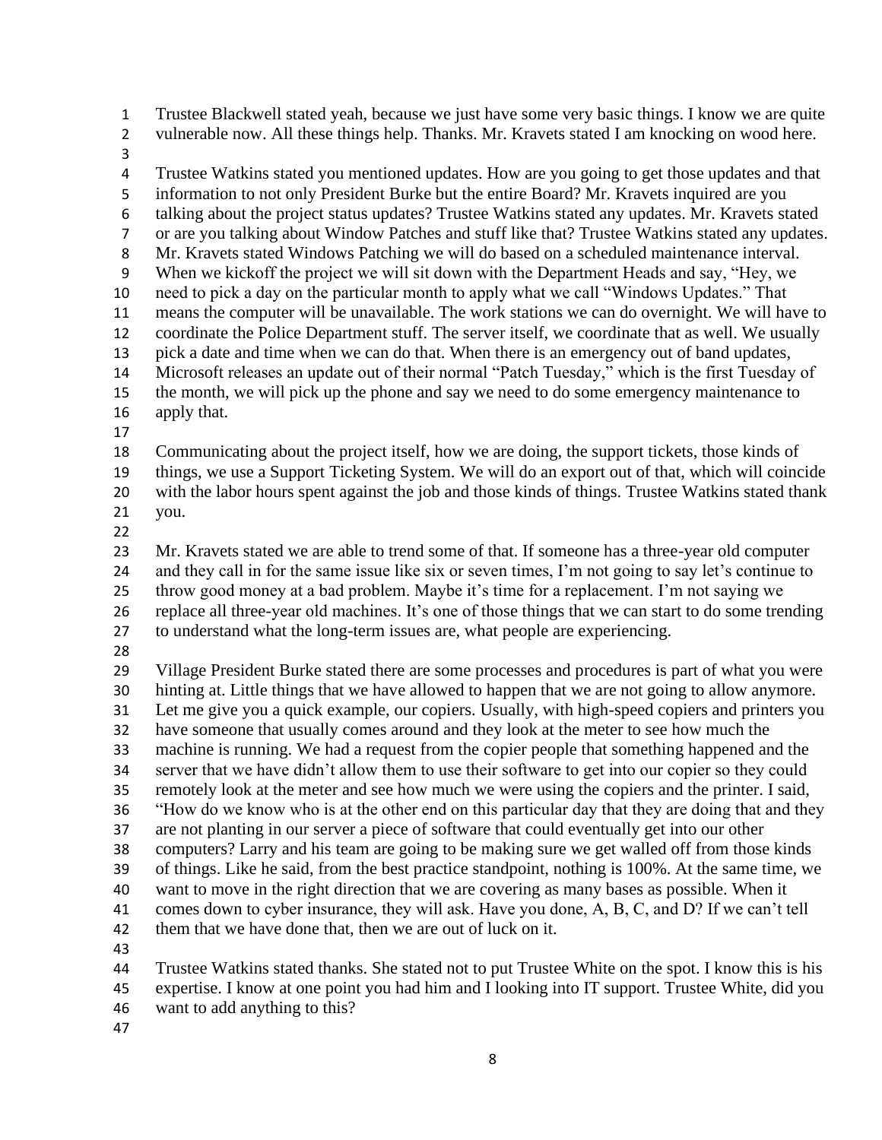Trustee Blackwell stated yeah, because we just have some very basic things. I know we are quite vulnerable now. All these things help. Thanks. Mr. Kravets stated I am knocking on wood here. Trustee Watkins stated you mentioned updates. How are you going to get those updates and that information to not only President Burke but the entire Board? Mr. Kravets inquired are you talking about the project status updates? Trustee Watkins stated any updates. Mr. Kravets stated or are you talking about Window Patches and stuff like that? Trustee Watkins stated any updates. Mr. Kravets stated Windows Patching we will do based on a scheduled maintenance interval. When we kickoff the project we will sit down with the Department Heads and say, "Hey, we need to pick a day on the particular month to apply what we call "Windows Updates." That means the computer will be unavailable. The work stations we can do overnight. We will have to coordinate the Police Department stuff. The server itself, we coordinate that as well. We usually pick a date and time when we can do that. When there is an emergency out of band updates, Microsoft releases an update out of their normal "Patch Tuesday," which is the first Tuesday of the month, we will pick up the phone and say we need to do some emergency maintenance to apply that. Communicating about the project itself, how we are doing, the support tickets, those kinds of things, we use a Support Ticketing System. We will do an export out of that, which will coincide with the labor hours spent against the job and those kinds of things. Trustee Watkins stated thank you. Mr. Kravets stated we are able to trend some of that. If someone has a three-year old computer and they call in for the same issue like six or seven times, I'm not going to say let's continue to throw good money at a bad problem. Maybe it's time for a replacement. I'm not saying we replace all three-year old machines. It's one of those things that we can start to do some trending to understand what the long-term issues are, what people are experiencing. Village President Burke stated there are some processes and procedures is part of what you were hinting at. Little things that we have allowed to happen that we are not going to allow anymore. Let me give you a quick example, our copiers. Usually, with high-speed copiers and printers you have someone that usually comes around and they look at the meter to see how much the machine is running. We had a request from the copier people that something happened and the server that we have didn't allow them to use their software to get into our copier so they could remotely look at the meter and see how much we were using the copiers and the printer. I said, "How do we know who is at the other end on this particular day that they are doing that and they are not planting in our server a piece of software that could eventually get into our other computers? Larry and his team are going to be making sure we get walled off from those kinds of things. Like he said, from the best practice standpoint, nothing is 100%. At the same time, we want to move in the right direction that we are covering as many bases as possible. When it comes down to cyber insurance, they will ask. Have you done, A, B, C, and D? If we can't tell 42 them that we have done that, then we are out of luck on it. Trustee Watkins stated thanks. She stated not to put Trustee White on the spot. I know this is his expertise. I know at one point you had him and I looking into IT support. Trustee White, did you

- want to add anything to this?
-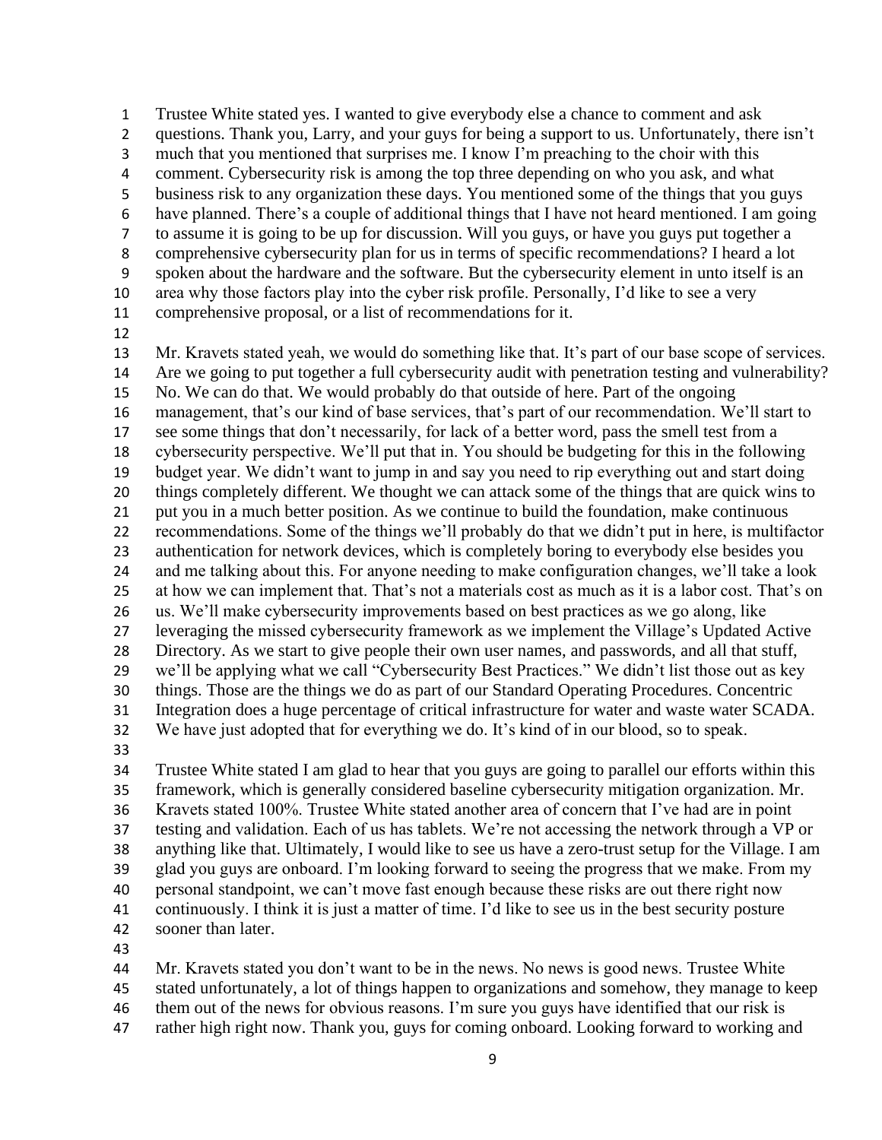Trustee White stated yes. I wanted to give everybody else a chance to comment and ask questions. Thank you, Larry, and your guys for being a support to us. Unfortunately, there isn't much that you mentioned that surprises me. I know I'm preaching to the choir with this comment. Cybersecurity risk is among the top three depending on who you ask, and what business risk to any organization these days. You mentioned some of the things that you guys have planned. There's a couple of additional things that I have not heard mentioned. I am going to assume it is going to be up for discussion. Will you guys, or have you guys put together a comprehensive cybersecurity plan for us in terms of specific recommendations? I heard a lot spoken about the hardware and the software. But the cybersecurity element in unto itself is an area why those factors play into the cyber risk profile. Personally, I'd like to see a very comprehensive proposal, or a list of recommendations for it.

 Mr. Kravets stated yeah, we would do something like that. It's part of our base scope of services. Are we going to put together a full cybersecurity audit with penetration testing and vulnerability? No. We can do that. We would probably do that outside of here. Part of the ongoing management, that's our kind of base services, that's part of our recommendation. We'll start to see some things that don't necessarily, for lack of a better word, pass the smell test from a cybersecurity perspective. We'll put that in. You should be budgeting for this in the following budget year. We didn't want to jump in and say you need to rip everything out and start doing things completely different. We thought we can attack some of the things that are quick wins to put you in a much better position. As we continue to build the foundation, make continuous recommendations. Some of the things we'll probably do that we didn't put in here, is multifactor authentication for network devices, which is completely boring to everybody else besides you and me talking about this. For anyone needing to make configuration changes, we'll take a look at how we can implement that. That's not a materials cost as much as it is a labor cost. That's on us. We'll make cybersecurity improvements based on best practices as we go along, like leveraging the missed cybersecurity framework as we implement the Village's Updated Active Directory. As we start to give people their own user names, and passwords, and all that stuff, we'll be applying what we call "Cybersecurity Best Practices." We didn't list those out as key things. Those are the things we do as part of our Standard Operating Procedures. Concentric Integration does a huge percentage of critical infrastructure for water and waste water SCADA. We have just adopted that for everything we do. It's kind of in our blood, so to speak. 

 Trustee White stated I am glad to hear that you guys are going to parallel our efforts within this framework, which is generally considered baseline cybersecurity mitigation organization. Mr. Kravets stated 100%. Trustee White stated another area of concern that I've had are in point testing and validation. Each of us has tablets. We're not accessing the network through a VP or anything like that. Ultimately, I would like to see us have a zero-trust setup for the Village. I am glad you guys are onboard. I'm looking forward to seeing the progress that we make. From my personal standpoint, we can't move fast enough because these risks are out there right now continuously. I think it is just a matter of time. I'd like to see us in the best security posture sooner than later.

Mr. Kravets stated you don't want to be in the news. No news is good news. Trustee White

 stated unfortunately, a lot of things happen to organizations and somehow, they manage to keep them out of the news for obvious reasons. I'm sure you guys have identified that our risk is

rather high right now. Thank you, guys for coming onboard. Looking forward to working and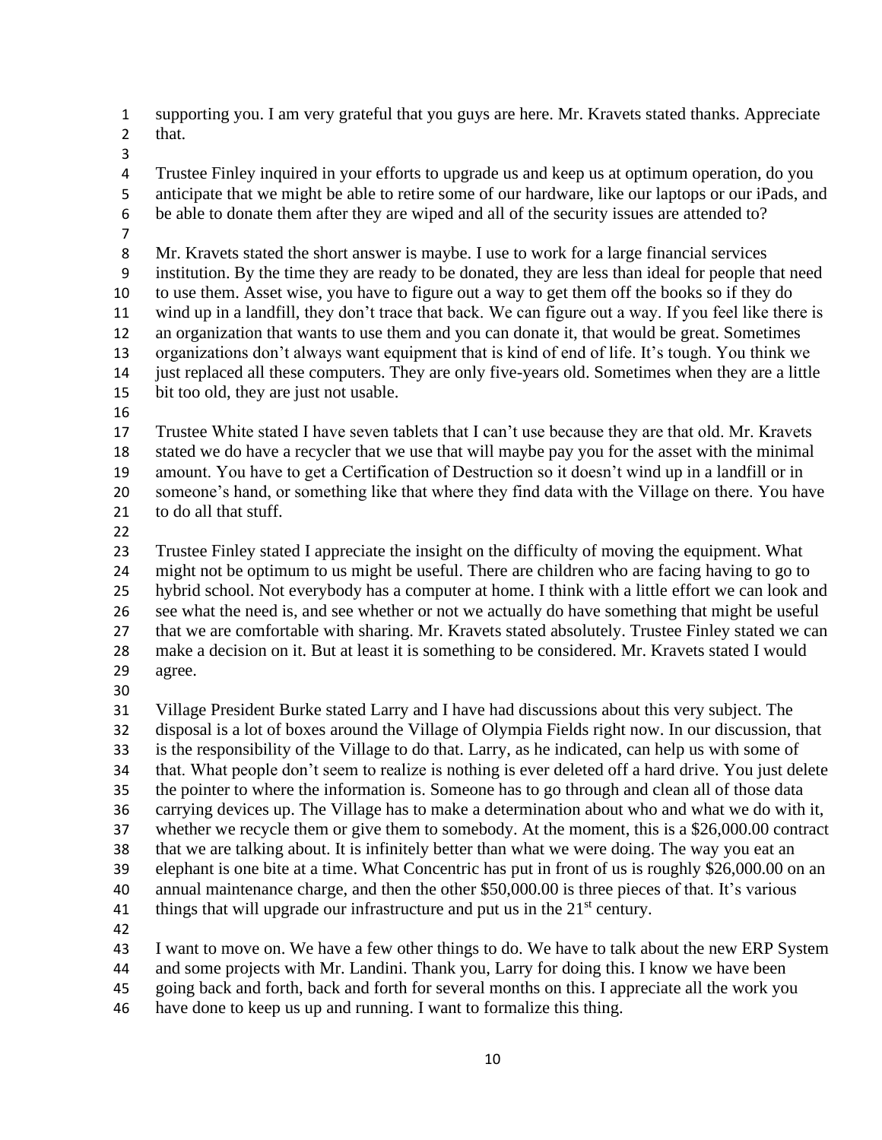supporting you. I am very grateful that you guys are here. Mr. Kravets stated thanks. Appreciate that.

 Trustee Finley inquired in your efforts to upgrade us and keep us at optimum operation, do you anticipate that we might be able to retire some of our hardware, like our laptops or our iPads, and be able to donate them after they are wiped and all of the security issues are attended to?

 Mr. Kravets stated the short answer is maybe. I use to work for a large financial services institution. By the time they are ready to be donated, they are less than ideal for people that need to use them. Asset wise, you have to figure out a way to get them off the books so if they do wind up in a landfill, they don't trace that back. We can figure out a way. If you feel like there is an organization that wants to use them and you can donate it, that would be great. Sometimes organizations don't always want equipment that is kind of end of life. It's tough. You think we just replaced all these computers. They are only five-years old. Sometimes when they are a little bit too old, they are just not usable.

 Trustee White stated I have seven tablets that I can't use because they are that old. Mr. Kravets stated we do have a recycler that we use that will maybe pay you for the asset with the minimal amount. You have to get a Certification of Destruction so it doesn't wind up in a landfill or in someone's hand, or something like that where they find data with the Village on there. You have to do all that stuff.

 Trustee Finley stated I appreciate the insight on the difficulty of moving the equipment. What might not be optimum to us might be useful. There are children who are facing having to go to hybrid school. Not everybody has a computer at home. I think with a little effort we can look and see what the need is, and see whether or not we actually do have something that might be useful that we are comfortable with sharing. Mr. Kravets stated absolutely. Trustee Finley stated we can make a decision on it. But at least it is something to be considered. Mr. Kravets stated I would agree.

 Village President Burke stated Larry and I have had discussions about this very subject. The disposal is a lot of boxes around the Village of Olympia Fields right now. In our discussion, that is the responsibility of the Village to do that. Larry, as he indicated, can help us with some of that. What people don't seem to realize is nothing is ever deleted off a hard drive. You just delete the pointer to where the information is. Someone has to go through and clean all of those data carrying devices up. The Village has to make a determination about who and what we do with it, whether we recycle them or give them to somebody. At the moment, this is a \$26,000.00 contract that we are talking about. It is infinitely better than what we were doing. The way you eat an elephant is one bite at a time. What Concentric has put in front of us is roughly \$26,000.00 on an annual maintenance charge, and then the other \$50,000.00 is three pieces of that. It's various 41 things that will upgrade our infrastructure and put us in the  $21<sup>st</sup>$  century. 

I want to move on. We have a few other things to do. We have to talk about the new ERP System

and some projects with Mr. Landini. Thank you, Larry for doing this. I know we have been

going back and forth, back and forth for several months on this. I appreciate all the work you

have done to keep us up and running. I want to formalize this thing.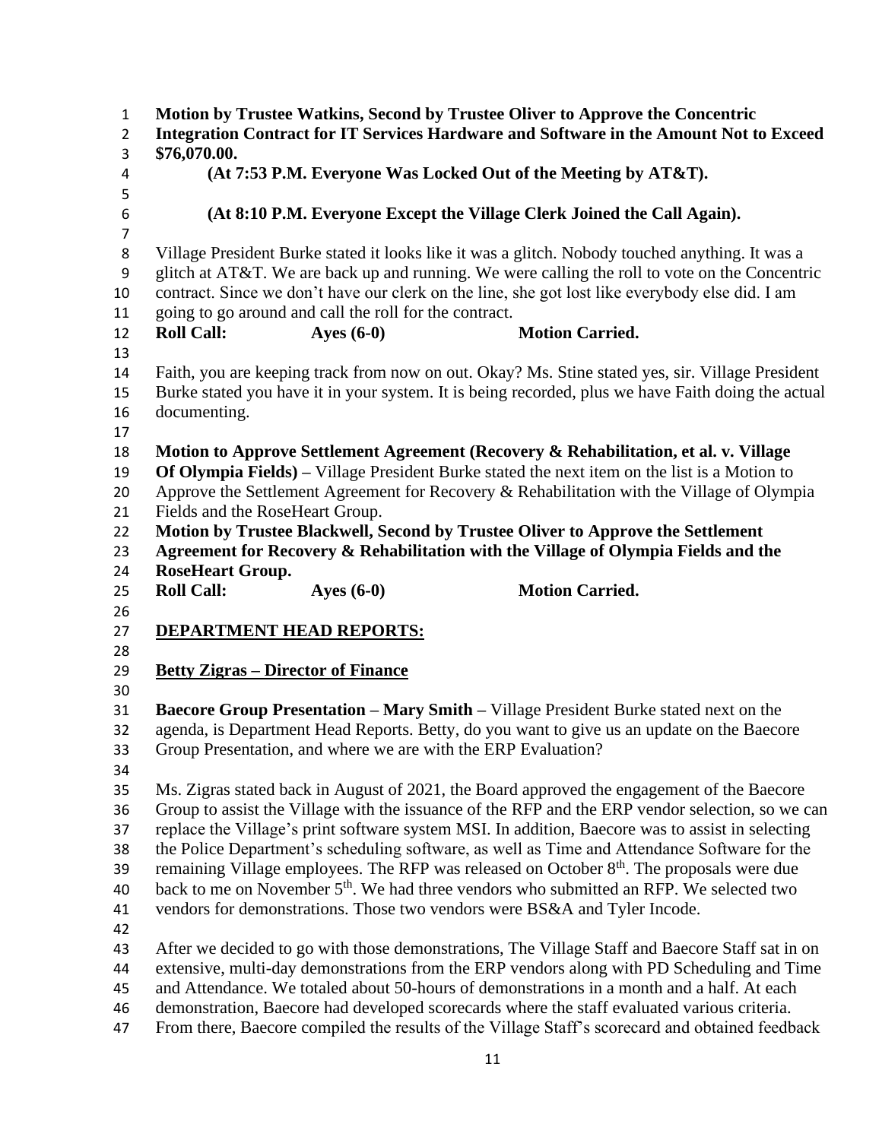**Motion by Trustee Watkins, Second by Trustee Oliver to Approve the Concentric Integration Contract for IT Services Hardware and Software in the Amount Not to Exceed \$76,070.00. (At 7:53 P.M. Everyone Was Locked Out of the Meeting by AT&T). (At 8:10 P.M. Everyone Except the Village Clerk Joined the Call Again).** Village President Burke stated it looks like it was a glitch. Nobody touched anything. It was a glitch at AT&T. We are back up and running. We were calling the roll to vote on the Concentric contract. Since we don't have our clerk on the line, she got lost like everybody else did. I am going to go around and call the roll for the contract. **Roll Call: Ayes (6-0) Motion Carried.** Faith, you are keeping track from now on out. Okay? Ms. Stine stated yes, sir. Village President Burke stated you have it in your system. It is being recorded, plus we have Faith doing the actual documenting. **Motion to Approve Settlement Agreement (Recovery & Rehabilitation, et al. v. Village Of Olympia Fields) –** Village President Burke stated the next item on the list is a Motion to Approve the Settlement Agreement for Recovery & Rehabilitation with the Village of Olympia Fields and the RoseHeart Group. **Motion by Trustee Blackwell, Second by Trustee Oliver to Approve the Settlement Agreement for Recovery & Rehabilitation with the Village of Olympia Fields and the RoseHeart Group. Roll Call: Ayes (6-0) Motion Carried. DEPARTMENT HEAD REPORTS: Betty Zigras – Director of Finance Baecore Group Presentation – Mary Smith –** Village President Burke stated next on the agenda, is Department Head Reports. Betty, do you want to give us an update on the Baecore Group Presentation, and where we are with the ERP Evaluation? Ms. Zigras stated back in August of 2021, the Board approved the engagement of the Baecore Group to assist the Village with the issuance of the RFP and the ERP vendor selection, so we can replace the Village's print software system MSI. In addition, Baecore was to assist in selecting the Police Department's scheduling software, as well as Time and Attendance Software for the 39 remaining Village employees. The RFP was released on October  $8<sup>th</sup>$ . The proposals were due 40 back to me on November  $5<sup>th</sup>$ . We had three vendors who submitted an RFP. We selected two vendors for demonstrations. Those two vendors were BS&A and Tyler Incode. After we decided to go with those demonstrations, The Village Staff and Baecore Staff sat in on extensive, multi-day demonstrations from the ERP vendors along with PD Scheduling and Time and Attendance. We totaled about 50-hours of demonstrations in a month and a half. At each demonstration, Baecore had developed scorecards where the staff evaluated various criteria. From there, Baecore compiled the results of the Village Staff's scorecard and obtained feedback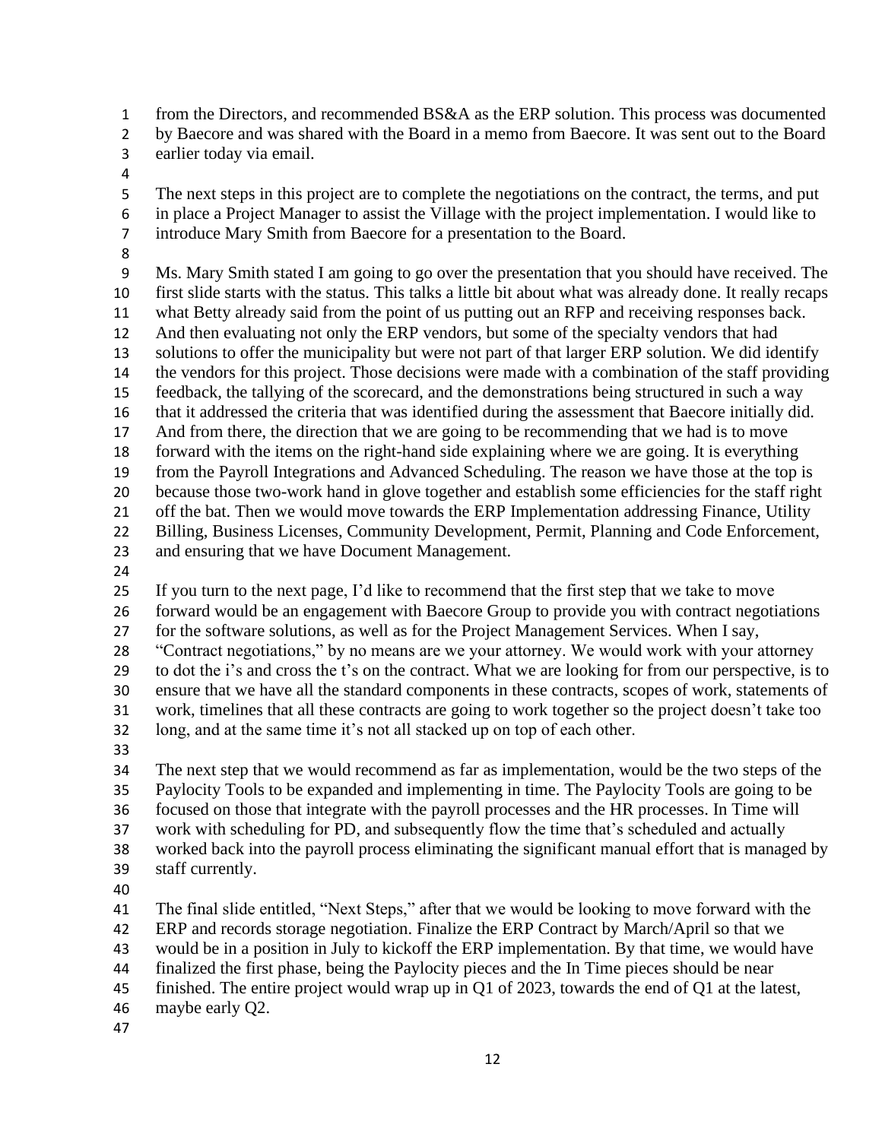from the Directors, and recommended BS&A as the ERP solution. This process was documented by Baecore and was shared with the Board in a memo from Baecore. It was sent out to the Board

- earlier today via email.
- 

 The next steps in this project are to complete the negotiations on the contract, the terms, and put in place a Project Manager to assist the Village with the project implementation. I would like to introduce Mary Smith from Baecore for a presentation to the Board.

 Ms. Mary Smith stated I am going to go over the presentation that you should have received. The first slide starts with the status. This talks a little bit about what was already done. It really recaps what Betty already said from the point of us putting out an RFP and receiving responses back. And then evaluating not only the ERP vendors, but some of the specialty vendors that had solutions to offer the municipality but were not part of that larger ERP solution. We did identify the vendors for this project. Those decisions were made with a combination of the staff providing feedback, the tallying of the scorecard, and the demonstrations being structured in such a way that it addressed the criteria that was identified during the assessment that Baecore initially did. And from there, the direction that we are going to be recommending that we had is to move forward with the items on the right-hand side explaining where we are going. It is everything from the Payroll Integrations and Advanced Scheduling. The reason we have those at the top is because those two-work hand in glove together and establish some efficiencies for the staff right 21 off the bat. Then we would move towards the ERP Implementation addressing Finance, Utility Billing, Business Licenses, Community Development, Permit, Planning and Code Enforcement, and ensuring that we have Document Management.

If you turn to the next page, I'd like to recommend that the first step that we take to move

 forward would be an engagement with Baecore Group to provide you with contract negotiations for the software solutions, as well as for the Project Management Services. When I say,

"Contract negotiations," by no means are we your attorney. We would work with your attorney

to dot the i's and cross the t's on the contract. What we are looking for from our perspective, is to

ensure that we have all the standard components in these contracts, scopes of work, statements of

 work, timelines that all these contracts are going to work together so the project doesn't take too long, and at the same time it's not all stacked up on top of each other.

 The next step that we would recommend as far as implementation, would be the two steps of the Paylocity Tools to be expanded and implementing in time. The Paylocity Tools are going to be focused on those that integrate with the payroll processes and the HR processes. In Time will work with scheduling for PD, and subsequently flow the time that's scheduled and actually worked back into the payroll process eliminating the significant manual effort that is managed by

- staff currently.
- 

The final slide entitled, "Next Steps," after that we would be looking to move forward with the

ERP and records storage negotiation. Finalize the ERP Contract by March/April so that we

would be in a position in July to kickoff the ERP implementation. By that time, we would have

finalized the first phase, being the Paylocity pieces and the In Time pieces should be near

finished. The entire project would wrap up in Q1 of 2023, towards the end of Q1 at the latest,

maybe early Q2.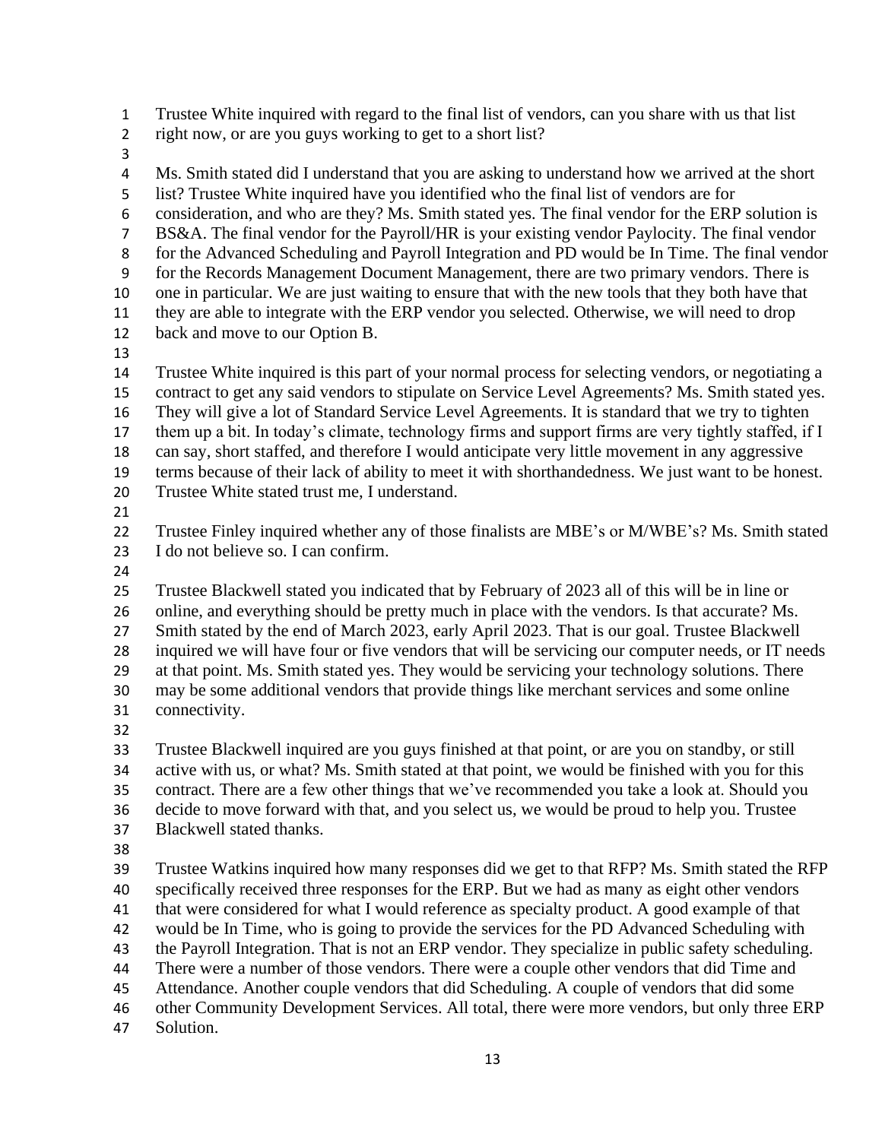Trustee White inquired with regard to the final list of vendors, can you share with us that list

- right now, or are you guys working to get to a short list?
- 

 Ms. Smith stated did I understand that you are asking to understand how we arrived at the short list? Trustee White inquired have you identified who the final list of vendors are for consideration, and who are they? Ms. Smith stated yes. The final vendor for the ERP solution is BS&A. The final vendor for the Payroll/HR is your existing vendor Paylocity. The final vendor for the Advanced Scheduling and Payroll Integration and PD would be In Time. The final vendor for the Records Management Document Management, there are two primary vendors. There is one in particular. We are just waiting to ensure that with the new tools that they both have that they are able to integrate with the ERP vendor you selected. Otherwise, we will need to drop back and move to our Option B. Trustee White inquired is this part of your normal process for selecting vendors, or negotiating a contract to get any said vendors to stipulate on Service Level Agreements? Ms. Smith stated yes. They will give a lot of Standard Service Level Agreements. It is standard that we try to tighten them up a bit. In today's climate, technology firms and support firms are very tightly staffed, if I can say, short staffed, and therefore I would anticipate very little movement in any aggressive terms because of their lack of ability to meet it with shorthandedness. We just want to be honest.

- Trustee White stated trust me, I understand.
- 

Trustee Finley inquired whether any of those finalists are MBE's or M/WBE's? Ms. Smith stated

- I do not believe so. I can confirm.
- 

Trustee Blackwell stated you indicated that by February of 2023 all of this will be in line or

online, and everything should be pretty much in place with the vendors. Is that accurate? Ms.

Smith stated by the end of March 2023, early April 2023. That is our goal. Trustee Blackwell

 inquired we will have four or five vendors that will be servicing our computer needs, or IT needs at that point. Ms. Smith stated yes. They would be servicing your technology solutions. There

 may be some additional vendors that provide things like merchant services and some online connectivity.

 Trustee Blackwell inquired are you guys finished at that point, or are you on standby, or still active with us, or what? Ms. Smith stated at that point, we would be finished with you for this contract. There are a few other things that we've recommended you take a look at. Should you decide to move forward with that, and you select us, we would be proud to help you. Trustee Blackwell stated thanks.

 Trustee Watkins inquired how many responses did we get to that RFP? Ms. Smith stated the RFP specifically received three responses for the ERP. But we had as many as eight other vendors that were considered for what I would reference as specialty product. A good example of that would be In Time, who is going to provide the services for the PD Advanced Scheduling with the Payroll Integration. That is not an ERP vendor. They specialize in public safety scheduling. There were a number of those vendors. There were a couple other vendors that did Time and Attendance. Another couple vendors that did Scheduling. A couple of vendors that did some

other Community Development Services. All total, there were more vendors, but only three ERP

Solution.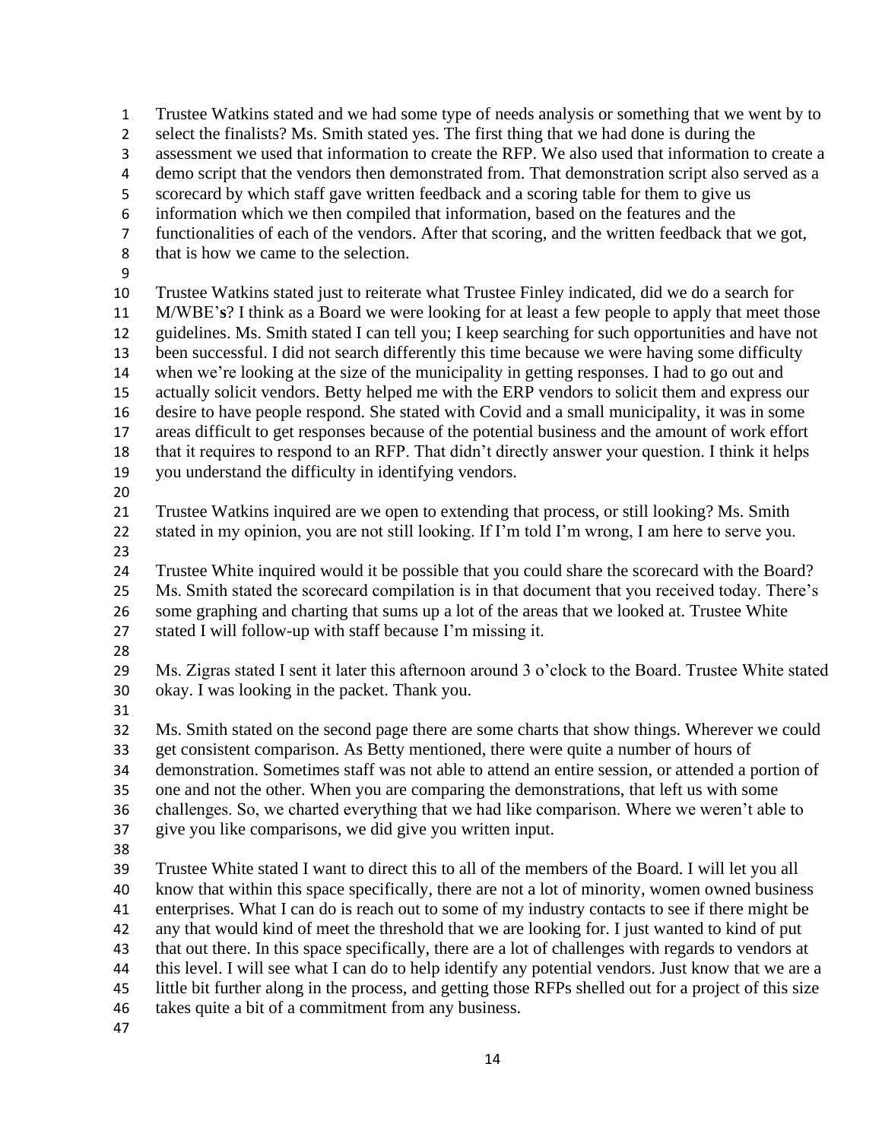Trustee Watkins stated and we had some type of needs analysis or something that we went by to select the finalists? Ms. Smith stated yes. The first thing that we had done is during the assessment we used that information to create the RFP. We also used that information to create a demo script that the vendors then demonstrated from. That demonstration script also served as a scorecard by which staff gave written feedback and a scoring table for them to give us information which we then compiled that information, based on the features and the functionalities of each of the vendors. After that scoring, and the written feedback that we got, that is how we came to the selection. Trustee Watkins stated just to reiterate what Trustee Finley indicated, did we do a search for M/WBE'**s**? I think as a Board we were looking for at least a few people to apply that meet those guidelines. Ms. Smith stated I can tell you; I keep searching for such opportunities and have not been successful. I did not search differently this time because we were having some difficulty when we're looking at the size of the municipality in getting responses. I had to go out and actually solicit vendors. Betty helped me with the ERP vendors to solicit them and express our desire to have people respond. She stated with Covid and a small municipality, it was in some areas difficult to get responses because of the potential business and the amount of work effort that it requires to respond to an RFP. That didn't directly answer your question. I think it helps you understand the difficulty in identifying vendors. Trustee Watkins inquired are we open to extending that process, or still looking? Ms. Smith stated in my opinion, you are not still looking. If I'm told I'm wrong, I am here to serve you. Trustee White inquired would it be possible that you could share the scorecard with the Board? Ms. Smith stated the scorecard compilation is in that document that you received today. There's some graphing and charting that sums up a lot of the areas that we looked at. Trustee White stated I will follow-up with staff because I'm missing it. Ms. Zigras stated I sent it later this afternoon around 3 o'clock to the Board. Trustee White stated okay. I was looking in the packet. Thank you. Ms. Smith stated on the second page there are some charts that show things. Wherever we could get consistent comparison. As Betty mentioned, there were quite a number of hours of demonstration. Sometimes staff was not able to attend an entire session, or attended a portion of one and not the other. When you are comparing the demonstrations, that left us with some challenges. So, we charted everything that we had like comparison. Where we weren't able to give you like comparisons, we did give you written input. Trustee White stated I want to direct this to all of the members of the Board. I will let you all know that within this space specifically, there are not a lot of minority, women owned business enterprises. What I can do is reach out to some of my industry contacts to see if there might be any that would kind of meet the threshold that we are looking for. I just wanted to kind of put that out there. In this space specifically, there are a lot of challenges with regards to vendors at this level. I will see what I can do to help identify any potential vendors. Just know that we are a 45 little bit further along in the process, and getting those RFPs shelled out for a project of this size takes quite a bit of a commitment from any business.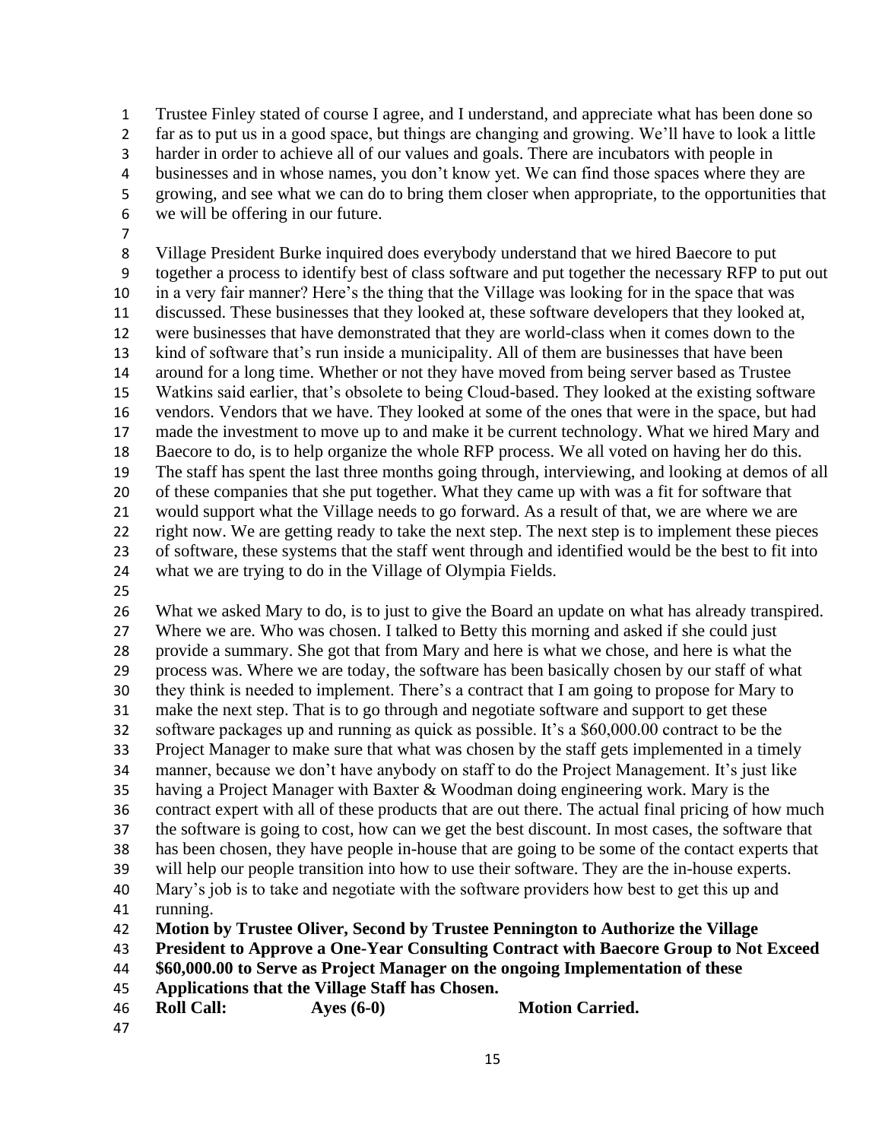Trustee Finley stated of course I agree, and I understand, and appreciate what has been done so far as to put us in a good space, but things are changing and growing. We'll have to look a little harder in order to achieve all of our values and goals. There are incubators with people in businesses and in whose names, you don't know yet. We can find those spaces where they are growing, and see what we can do to bring them closer when appropriate, to the opportunities that we will be offering in our future. 

 Village President Burke inquired does everybody understand that we hired Baecore to put together a process to identify best of class software and put together the necessary RFP to put out in a very fair manner? Here's the thing that the Village was looking for in the space that was discussed. These businesses that they looked at, these software developers that they looked at, were businesses that have demonstrated that they are world-class when it comes down to the kind of software that's run inside a municipality. All of them are businesses that have been around for a long time. Whether or not they have moved from being server based as Trustee Watkins said earlier, that's obsolete to being Cloud-based. They looked at the existing software vendors. Vendors that we have. They looked at some of the ones that were in the space, but had made the investment to move up to and make it be current technology. What we hired Mary and Baecore to do, is to help organize the whole RFP process. We all voted on having her do this. The staff has spent the last three months going through, interviewing, and looking at demos of all of these companies that she put together. What they came up with was a fit for software that would support what the Village needs to go forward. As a result of that, we are where we are right now. We are getting ready to take the next step. The next step is to implement these pieces of software, these systems that the staff went through and identified would be the best to fit into what we are trying to do in the Village of Olympia Fields.

 What we asked Mary to do, is to just to give the Board an update on what has already transpired. Where we are. Who was chosen. I talked to Betty this morning and asked if she could just provide a summary. She got that from Mary and here is what we chose, and here is what the process was. Where we are today, the software has been basically chosen by our staff of what they think is needed to implement. There's a contract that I am going to propose for Mary to make the next step. That is to go through and negotiate software and support to get these software packages up and running as quick as possible. It's a \$60,000.00 contract to be the Project Manager to make sure that what was chosen by the staff gets implemented in a timely manner, because we don't have anybody on staff to do the Project Management. It's just like having a Project Manager with Baxter & Woodman doing engineering work. Mary is the contract expert with all of these products that are out there. The actual final pricing of how much the software is going to cost, how can we get the best discount. In most cases, the software that has been chosen, they have people in-house that are going to be some of the contact experts that will help our people transition into how to use their software. They are the in-house experts. Mary's job is to take and negotiate with the software providers how best to get this up and running. **Motion by Trustee Oliver, Second by Trustee Pennington to Authorize the Village President to Approve a One-Year Consulting Contract with Baecore Group to Not Exceed \$60,000.00 to Serve as Project Manager on the ongoing Implementation of these Applications that the Village Staff has Chosen.**

**Roll Call: Ayes (6-0) Motion Carried.**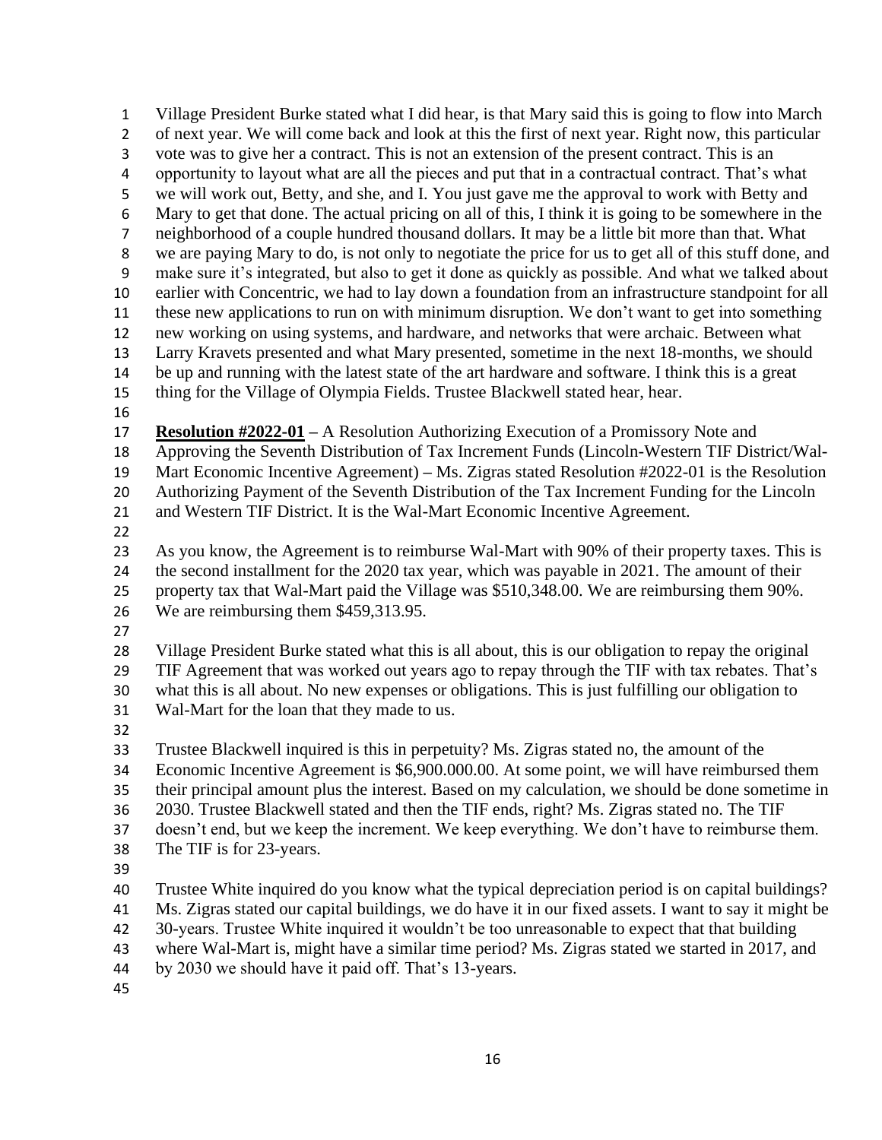Village President Burke stated what I did hear, is that Mary said this is going to flow into March of next year. We will come back and look at this the first of next year. Right now, this particular vote was to give her a contract. This is not an extension of the present contract. This is an opportunity to layout what are all the pieces and put that in a contractual contract. That's what we will work out, Betty, and she, and I. You just gave me the approval to work with Betty and Mary to get that done. The actual pricing on all of this, I think it is going to be somewhere in the neighborhood of a couple hundred thousand dollars. It may be a little bit more than that. What we are paying Mary to do, is not only to negotiate the price for us to get all of this stuff done, and make sure it's integrated, but also to get it done as quickly as possible. And what we talked about earlier with Concentric, we had to lay down a foundation from an infrastructure standpoint for all these new applications to run on with minimum disruption. We don't want to get into something new working on using systems, and hardware, and networks that were archaic. Between what Larry Kravets presented and what Mary presented, sometime in the next 18-months, we should be up and running with the latest state of the art hardware and software. I think this is a great thing for the Village of Olympia Fields. Trustee Blackwell stated hear, hear. **Resolution #2022-01 –** A Resolution Authorizing Execution of a Promissory Note and Approving the Seventh Distribution of Tax Increment Funds (Lincoln-Western TIF District/Wal- Mart Economic Incentive Agreement) **–** Ms. Zigras stated Resolution #2022-01 is the Resolution Authorizing Payment of the Seventh Distribution of the Tax Increment Funding for the Lincoln and Western TIF District. It is the Wal-Mart Economic Incentive Agreement. As you know, the Agreement is to reimburse Wal-Mart with 90% of their property taxes. This is the second installment for the 2020 tax year, which was payable in 2021. The amount of their property tax that Wal-Mart paid the Village was \$510,348.00. We are reimbursing them 90%. We are reimbursing them \$459,313.95. Village President Burke stated what this is all about, this is our obligation to repay the original TIF Agreement that was worked out years ago to repay through the TIF with tax rebates. That's what this is all about. No new expenses or obligations. This is just fulfilling our obligation to Wal-Mart for the loan that they made to us. Trustee Blackwell inquired is this in perpetuity? Ms. Zigras stated no, the amount of the Economic Incentive Agreement is \$6,900.000.00. At some point, we will have reimbursed them their principal amount plus the interest. Based on my calculation, we should be done sometime in 2030. Trustee Blackwell stated and then the TIF ends, right? Ms. Zigras stated no. The TIF doesn't end, but we keep the increment. We keep everything. We don't have to reimburse them. The TIF is for 23-years. Trustee White inquired do you know what the typical depreciation period is on capital buildings? Ms. Zigras stated our capital buildings, we do have it in our fixed assets. I want to say it might be 30-years. Trustee White inquired it wouldn't be too unreasonable to expect that that building where Wal-Mart is, might have a similar time period? Ms. Zigras stated we started in 2017, and by 2030 we should have it paid off. That's 13-years.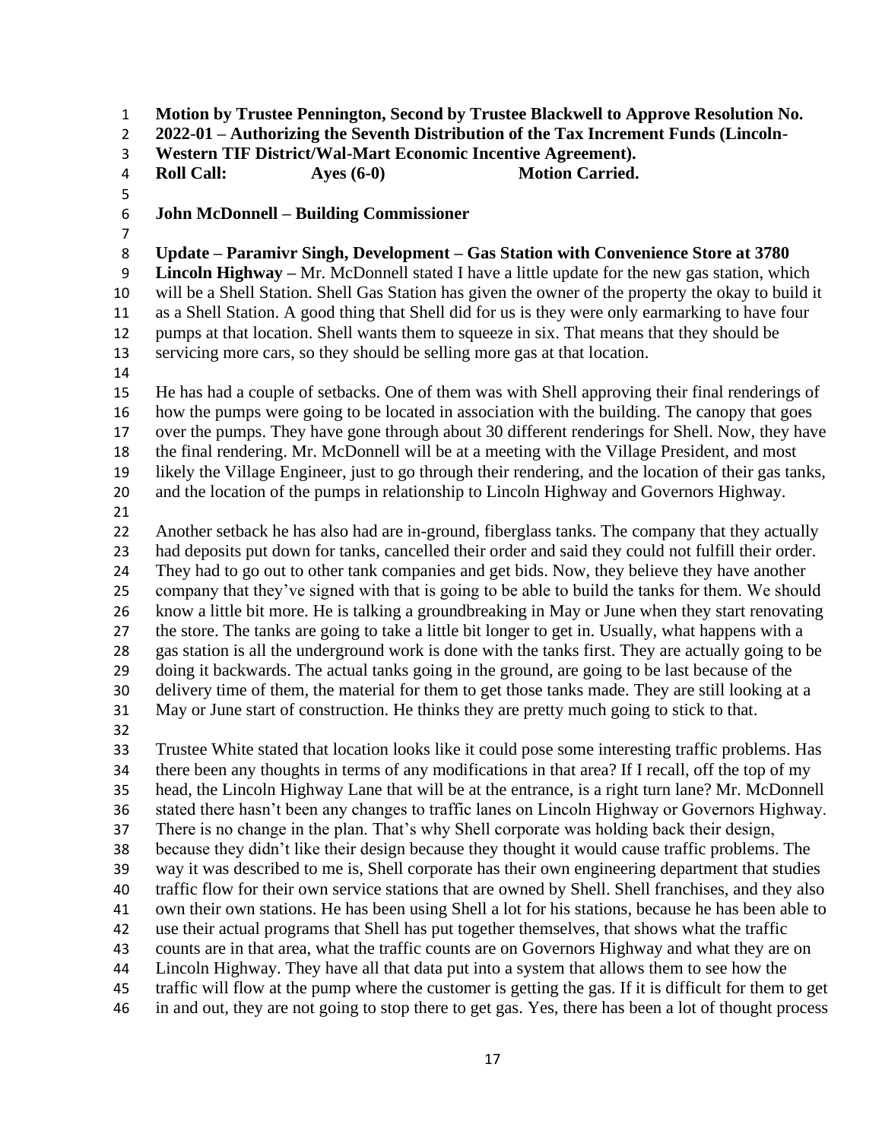**Motion by Trustee Pennington, Second by Trustee Blackwell to Approve Resolution No.** 

**2022-01 – Authorizing the Seventh Distribution of the Tax Increment Funds (Lincoln-**

**Western TIF District/Wal-Mart Economic Incentive Agreement).**

**Roll Call: Ayes (6-0) Motion Carried.**

**John McDonnell – Building Commissioner**

**Update – Paramivr Singh, Development – Gas Station with Convenience Store at 3780** 

 **Lincoln Highway –** Mr. McDonnell stated I have a little update for the new gas station, which will be a Shell Station. Shell Gas Station has given the owner of the property the okay to build it as a Shell Station. A good thing that Shell did for us is they were only earmarking to have four pumps at that location. Shell wants them to squeeze in six. That means that they should be servicing more cars, so they should be selling more gas at that location.

 He has had a couple of setbacks. One of them was with Shell approving their final renderings of how the pumps were going to be located in association with the building. The canopy that goes over the pumps. They have gone through about 30 different renderings for Shell. Now, they have the final rendering. Mr. McDonnell will be at a meeting with the Village President, and most likely the Village Engineer, just to go through their rendering, and the location of their gas tanks, and the location of the pumps in relationship to Lincoln Highway and Governors Highway.

 Another setback he has also had are in-ground, fiberglass tanks. The company that they actually had deposits put down for tanks, cancelled their order and said they could not fulfill their order. They had to go out to other tank companies and get bids. Now, they believe they have another company that they've signed with that is going to be able to build the tanks for them. We should know a little bit more. He is talking a groundbreaking in May or June when they start renovating the store. The tanks are going to take a little bit longer to get in. Usually, what happens with a gas station is all the underground work is done with the tanks first. They are actually going to be doing it backwards. The actual tanks going in the ground, are going to be last because of the delivery time of them, the material for them to get those tanks made. They are still looking at a May or June start of construction. He thinks they are pretty much going to stick to that. Trustee White stated that location looks like it could pose some interesting traffic problems. Has

 there been any thoughts in terms of any modifications in that area? If I recall, off the top of my head, the Lincoln Highway Lane that will be at the entrance, is a right turn lane? Mr. McDonnell stated there hasn't been any changes to traffic lanes on Lincoln Highway or Governors Highway. There is no change in the plan. That's why Shell corporate was holding back their design, because they didn't like their design because they thought it would cause traffic problems. The way it was described to me is, Shell corporate has their own engineering department that studies traffic flow for their own service stations that are owned by Shell. Shell franchises, and they also own their own stations. He has been using Shell a lot for his stations, because he has been able to use their actual programs that Shell has put together themselves, that shows what the traffic counts are in that area, what the traffic counts are on Governors Highway and what they are on Lincoln Highway. They have all that data put into a system that allows them to see how the traffic will flow at the pump where the customer is getting the gas. If it is difficult for them to get in and out, they are not going to stop there to get gas. Yes, there has been a lot of thought process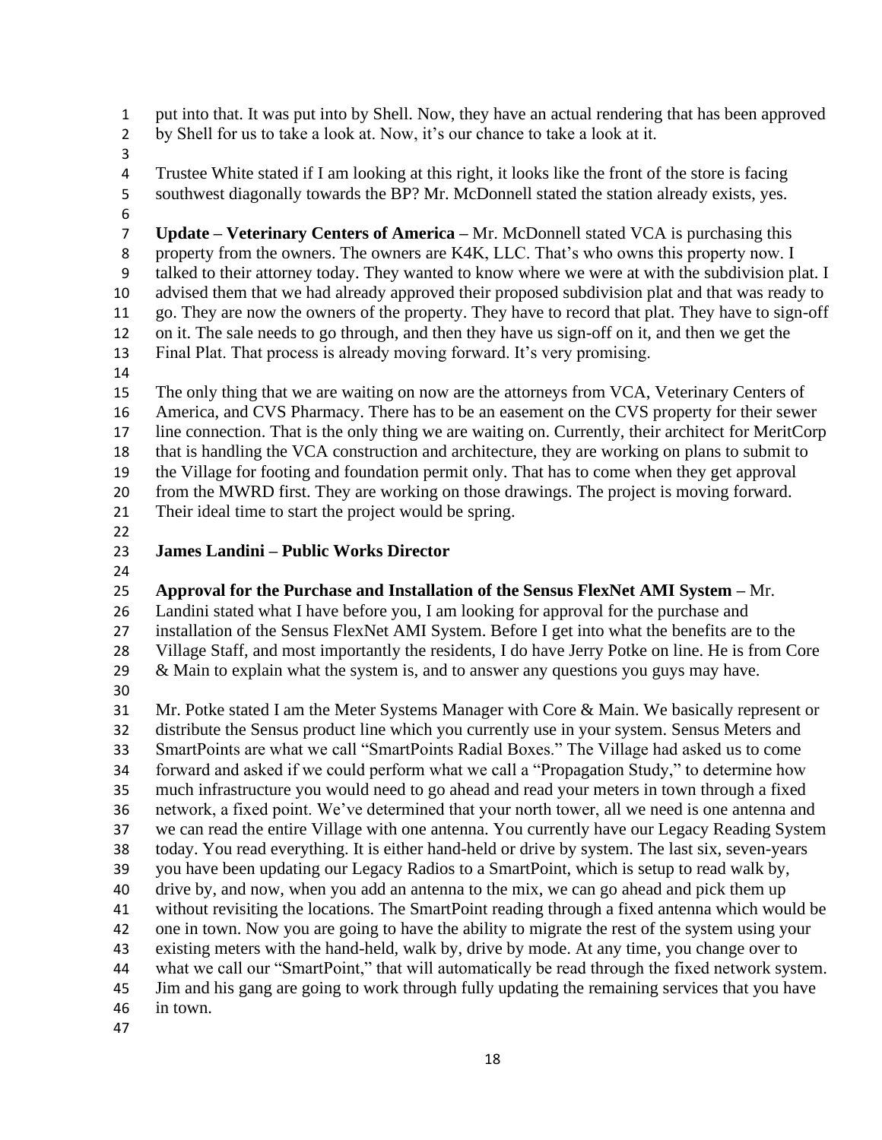put into that. It was put into by Shell. Now, they have an actual rendering that has been approved by Shell for us to take a look at. Now, it's our chance to take a look at it.

 Trustee White stated if I am looking at this right, it looks like the front of the store is facing southwest diagonally towards the BP? Mr. McDonnell stated the station already exists, yes.

 **Update – Veterinary Centers of America –** Mr. McDonnell stated VCA is purchasing this property from the owners. The owners are K4K, LLC. That's who owns this property now. I talked to their attorney today. They wanted to know where we were at with the subdivision plat. I advised them that we had already approved their proposed subdivision plat and that was ready to go. They are now the owners of the property. They have to record that plat. They have to sign-off on it. The sale needs to go through, and then they have us sign-off on it, and then we get the Final Plat. That process is already moving forward. It's very promising.

 The only thing that we are waiting on now are the attorneys from VCA, Veterinary Centers of America, and CVS Pharmacy. There has to be an easement on the CVS property for their sewer line connection. That is the only thing we are waiting on. Currently, their architect for MeritCorp that is handling the VCA construction and architecture, they are working on plans to submit to the Village for footing and foundation permit only. That has to come when they get approval from the MWRD first. They are working on those drawings. The project is moving forward. Their ideal time to start the project would be spring.

#### **James Landini – Public Works Director**

#### **Approval for the Purchase and Installation of the Sensus FlexNet AMI System –** Mr.

Landini stated what I have before you, I am looking for approval for the purchase and

installation of the Sensus FlexNet AMI System. Before I get into what the benefits are to the

Village Staff, and most importantly the residents, I do have Jerry Potke on line. He is from Core

29 & Main to explain what the system is, and to answer any questions you guys may have.

 Mr. Potke stated I am the Meter Systems Manager with Core & Main. We basically represent or distribute the Sensus product line which you currently use in your system. Sensus Meters and SmartPoints are what we call "SmartPoints Radial Boxes." The Village had asked us to come forward and asked if we could perform what we call a "Propagation Study," to determine how much infrastructure you would need to go ahead and read your meters in town through a fixed network, a fixed point. We've determined that your north tower, all we need is one antenna and we can read the entire Village with one antenna. You currently have our Legacy Reading System today. You read everything. It is either hand-held or drive by system. The last six, seven-years you have been updating our Legacy Radios to a SmartPoint, which is setup to read walk by, drive by, and now, when you add an antenna to the mix, we can go ahead and pick them up without revisiting the locations. The SmartPoint reading through a fixed antenna which would be one in town. Now you are going to have the ability to migrate the rest of the system using your existing meters with the hand-held, walk by, drive by mode. At any time, you change over to what we call our "SmartPoint," that will automatically be read through the fixed network system. Jim and his gang are going to work through fully updating the remaining services that you have in town.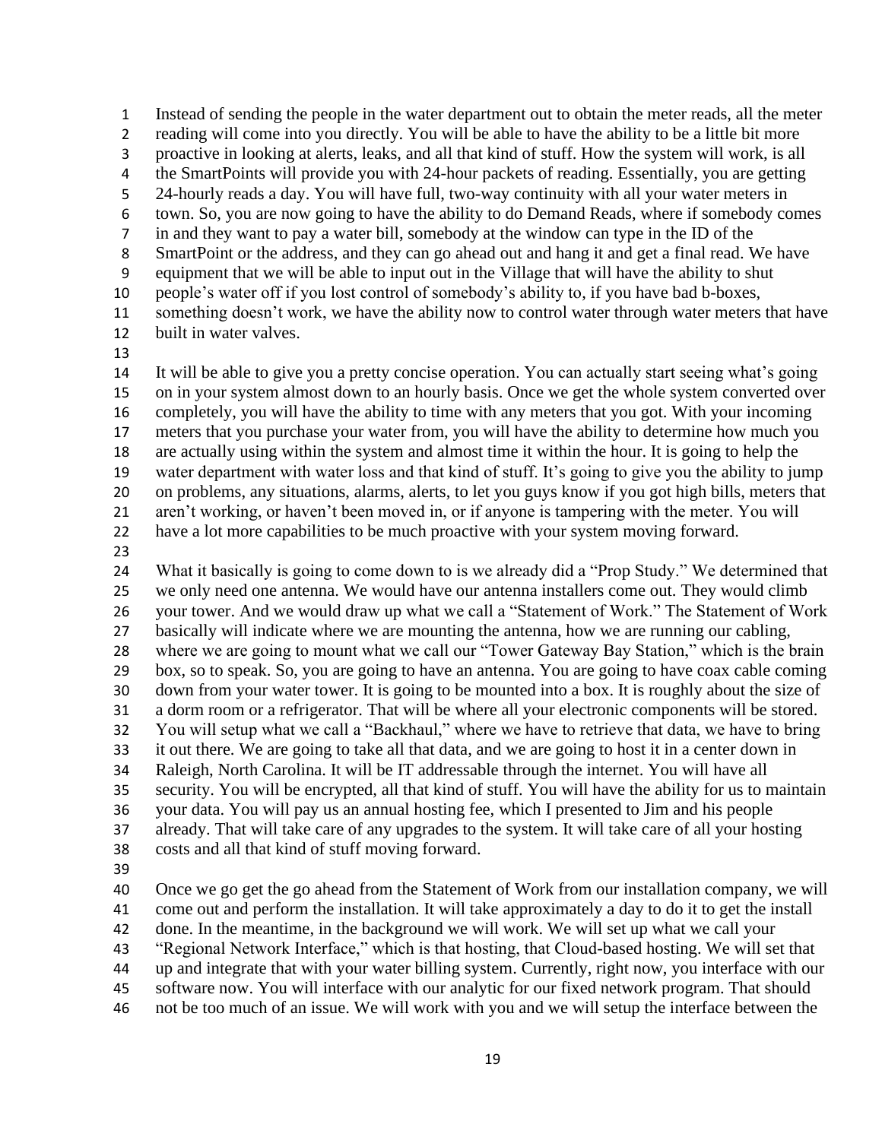Instead of sending the people in the water department out to obtain the meter reads, all the meter reading will come into you directly. You will be able to have the ability to be a little bit more proactive in looking at alerts, leaks, and all that kind of stuff. How the system will work, is all the SmartPoints will provide you with 24-hour packets of reading. Essentially, you are getting 24-hourly reads a day. You will have full, two-way continuity with all your water meters in town. So, you are now going to have the ability to do Demand Reads, where if somebody comes in and they want to pay a water bill, somebody at the window can type in the ID of the SmartPoint or the address, and they can go ahead out and hang it and get a final read. We have equipment that we will be able to input out in the Village that will have the ability to shut people's water off if you lost control of somebody's ability to, if you have bad b-boxes, something doesn't work, we have the ability now to control water through water meters that have built in water valves.

 It will be able to give you a pretty concise operation. You can actually start seeing what's going on in your system almost down to an hourly basis. Once we get the whole system converted over completely, you will have the ability to time with any meters that you got. With your incoming meters that you purchase your water from, you will have the ability to determine how much you are actually using within the system and almost time it within the hour. It is going to help the water department with water loss and that kind of stuff. It's going to give you the ability to jump on problems, any situations, alarms, alerts, to let you guys know if you got high bills, meters that aren't working, or haven't been moved in, or if anyone is tampering with the meter. You will have a lot more capabilities to be much proactive with your system moving forward.

 What it basically is going to come down to is we already did a "Prop Study." We determined that we only need one antenna. We would have our antenna installers come out. They would climb your tower. And we would draw up what we call a "Statement of Work." The Statement of Work basically will indicate where we are mounting the antenna, how we are running our cabling, where we are going to mount what we call our "Tower Gateway Bay Station," which is the brain box, so to speak. So, you are going to have an antenna. You are going to have coax cable coming down from your water tower. It is going to be mounted into a box. It is roughly about the size of a dorm room or a refrigerator. That will be where all your electronic components will be stored. You will setup what we call a "Backhaul," where we have to retrieve that data, we have to bring it out there. We are going to take all that data, and we are going to host it in a center down in Raleigh, North Carolina. It will be IT addressable through the internet. You will have all security. You will be encrypted, all that kind of stuff. You will have the ability for us to maintain your data. You will pay us an annual hosting fee, which I presented to Jim and his people already. That will take care of any upgrades to the system. It will take care of all your hosting costs and all that kind of stuff moving forward.

 Once we go get the go ahead from the Statement of Work from our installation company, we will come out and perform the installation. It will take approximately a day to do it to get the install done. In the meantime, in the background we will work. We will set up what we call your "Regional Network Interface," which is that hosting, that Cloud-based hosting. We will set that up and integrate that with your water billing system. Currently, right now, you interface with our software now. You will interface with our analytic for our fixed network program. That should not be too much of an issue. We will work with you and we will setup the interface between the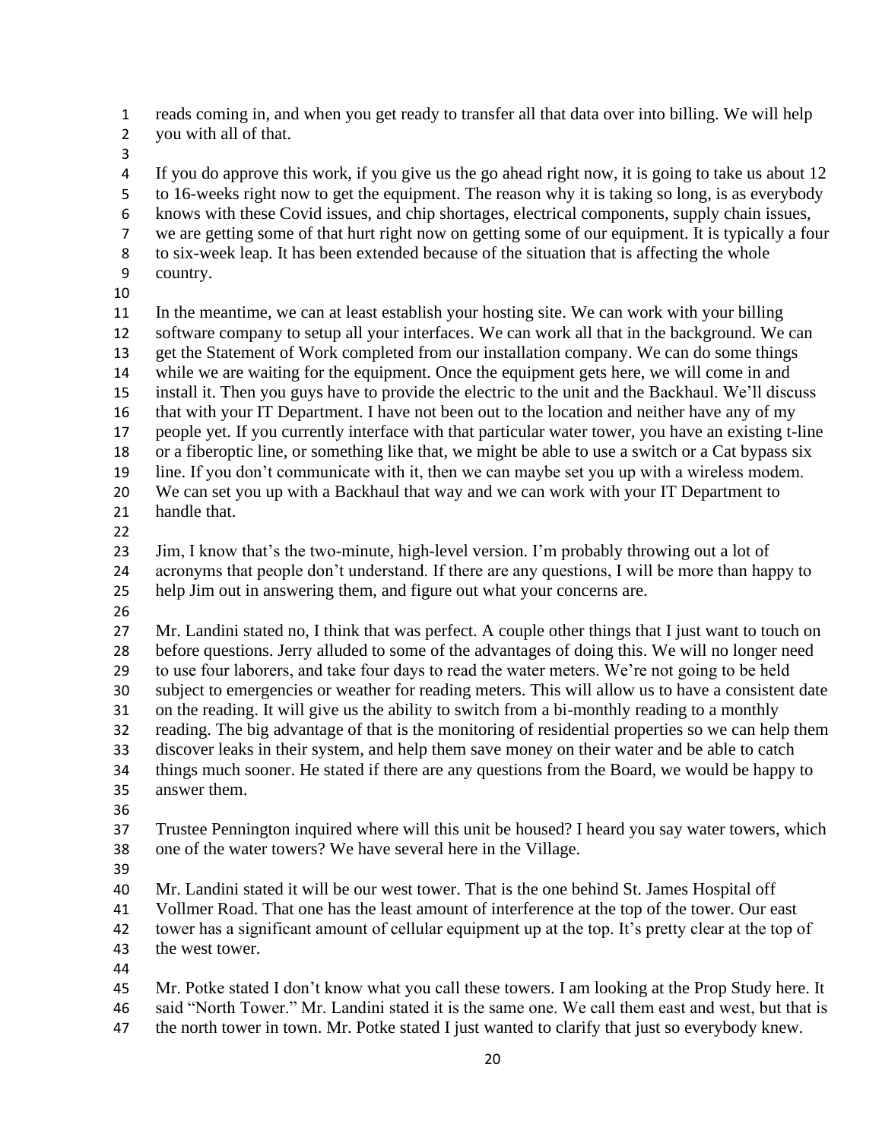reads coming in, and when you get ready to transfer all that data over into billing. We will help you with all of that.

 If you do approve this work, if you give us the go ahead right now, it is going to take us about 12 to 16-weeks right now to get the equipment. The reason why it is taking so long, is as everybody knows with these Covid issues, and chip shortages, electrical components, supply chain issues, we are getting some of that hurt right now on getting some of our equipment. It is typically a four to six-week leap. It has been extended because of the situation that is affecting the whole country.

 In the meantime, we can at least establish your hosting site. We can work with your billing software company to setup all your interfaces. We can work all that in the background. We can get the Statement of Work completed from our installation company. We can do some things while we are waiting for the equipment. Once the equipment gets here, we will come in and install it. Then you guys have to provide the electric to the unit and the Backhaul. We'll discuss that with your IT Department. I have not been out to the location and neither have any of my people yet. If you currently interface with that particular water tower, you have an existing t-line or a fiberoptic line, or something like that, we might be able to use a switch or a Cat bypass six line. If you don't communicate with it, then we can maybe set you up with a wireless modem. We can set you up with a Backhaul that way and we can work with your IT Department to handle that.

 Jim, I know that's the two-minute, high-level version. I'm probably throwing out a lot of acronyms that people don't understand. If there are any questions, I will be more than happy to help Jim out in answering them, and figure out what your concerns are.

 Mr. Landini stated no, I think that was perfect. A couple other things that I just want to touch on before questions. Jerry alluded to some of the advantages of doing this. We will no longer need to use four laborers, and take four days to read the water meters. We're not going to be held subject to emergencies or weather for reading meters. This will allow us to have a consistent date on the reading. It will give us the ability to switch from a bi-monthly reading to a monthly reading. The big advantage of that is the monitoring of residential properties so we can help them discover leaks in their system, and help them save money on their water and be able to catch things much sooner. He stated if there are any questions from the Board, we would be happy to answer them.

 Trustee Pennington inquired where will this unit be housed? I heard you say water towers, which one of the water towers? We have several here in the Village.

Mr. Landini stated it will be our west tower. That is the one behind St. James Hospital off

Vollmer Road. That one has the least amount of interference at the top of the tower. Our east

tower has a significant amount of cellular equipment up at the top. It's pretty clear at the top of

the west tower.

 Mr. Potke stated I don't know what you call these towers. I am looking at the Prop Study here. It said "North Tower." Mr. Landini stated it is the same one. We call them east and west, but that is

47 the north tower in town. Mr. Potke stated I just wanted to clarify that just so everybody knew.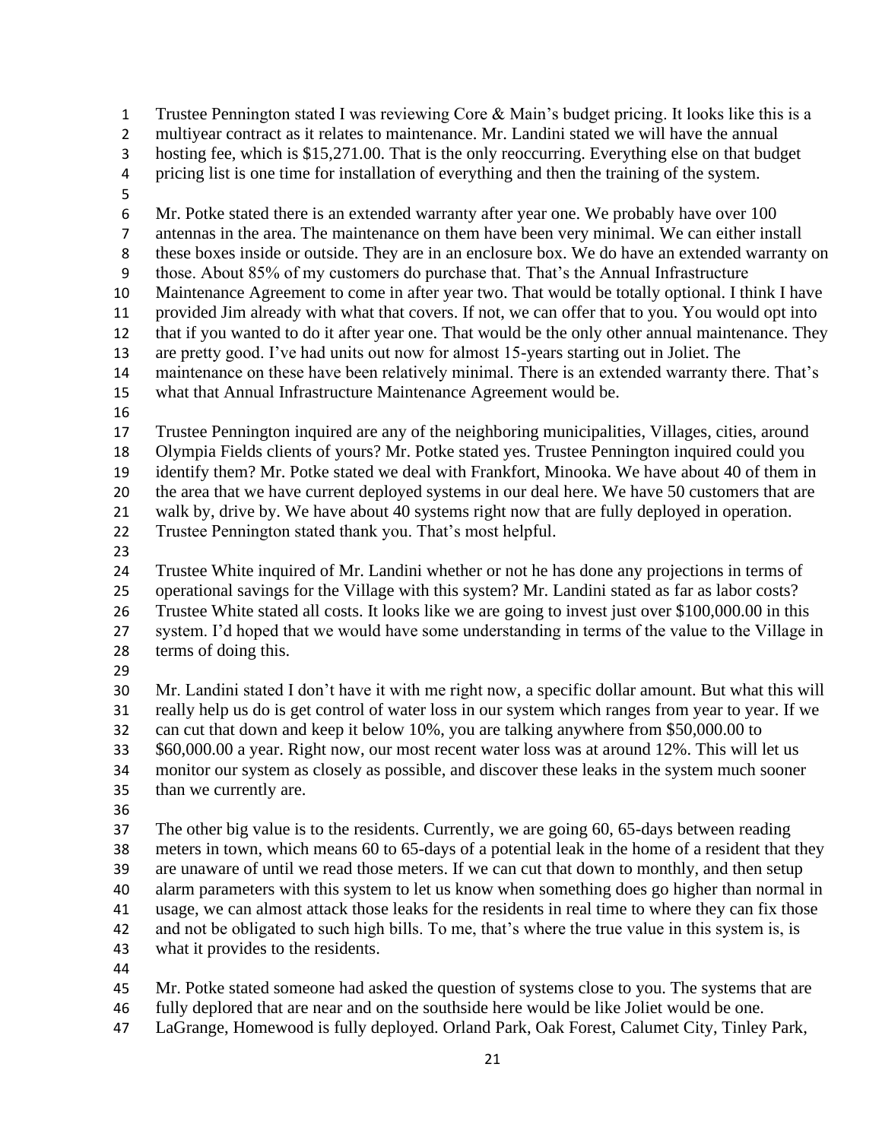Trustee Pennington stated I was reviewing Core & Main's budget pricing. It looks like this is a multiyear contract as it relates to maintenance. Mr. Landini stated we will have the annual hosting fee, which is \$15,271.00. That is the only reoccurring. Everything else on that budget pricing list is one time for installation of everything and then the training of the system. Mr. Potke stated there is an extended warranty after year one. We probably have over 100 antennas in the area. The maintenance on them have been very minimal. We can either install these boxes inside or outside. They are in an enclosure box. We do have an extended warranty on those. About 85% of my customers do purchase that. That's the Annual Infrastructure Maintenance Agreement to come in after year two. That would be totally optional. I think I have provided Jim already with what that covers. If not, we can offer that to you. You would opt into that if you wanted to do it after year one. That would be the only other annual maintenance. They are pretty good. I've had units out now for almost 15-years starting out in Joliet. The maintenance on these have been relatively minimal. There is an extended warranty there. That's what that Annual Infrastructure Maintenance Agreement would be. Trustee Pennington inquired are any of the neighboring municipalities, Villages, cities, around Olympia Fields clients of yours? Mr. Potke stated yes. Trustee Pennington inquired could you identify them? Mr. Potke stated we deal with Frankfort, Minooka. We have about 40 of them in the area that we have current deployed systems in our deal here. We have 50 customers that are walk by, drive by. We have about 40 systems right now that are fully deployed in operation. Trustee Pennington stated thank you. That's most helpful. Trustee White inquired of Mr. Landini whether or not he has done any projections in terms of operational savings for the Village with this system? Mr. Landini stated as far as labor costs? Trustee White stated all costs. It looks like we are going to invest just over \$100,000.00 in this system. I'd hoped that we would have some understanding in terms of the value to the Village in terms of doing this. Mr. Landini stated I don't have it with me right now, a specific dollar amount. But what this will really help us do is get control of water loss in our system which ranges from year to year. If we can cut that down and keep it below 10%, you are talking anywhere from \$50,000.00 to \$60,000.00 a year. Right now, our most recent water loss was at around 12%. This will let us monitor our system as closely as possible, and discover these leaks in the system much sooner than we currently are. The other big value is to the residents. Currently, we are going 60, 65-days between reading meters in town, which means 60 to 65-days of a potential leak in the home of a resident that they are unaware of until we read those meters. If we can cut that down to monthly, and then setup alarm parameters with this system to let us know when something does go higher than normal in usage, we can almost attack those leaks for the residents in real time to where they can fix those and not be obligated to such high bills. To me, that's where the true value in this system is, is what it provides to the residents. Mr. Potke stated someone had asked the question of systems close to you. The systems that are fully deplored that are near and on the southside here would be like Joliet would be one.

LaGrange, Homewood is fully deployed. Orland Park, Oak Forest, Calumet City, Tinley Park,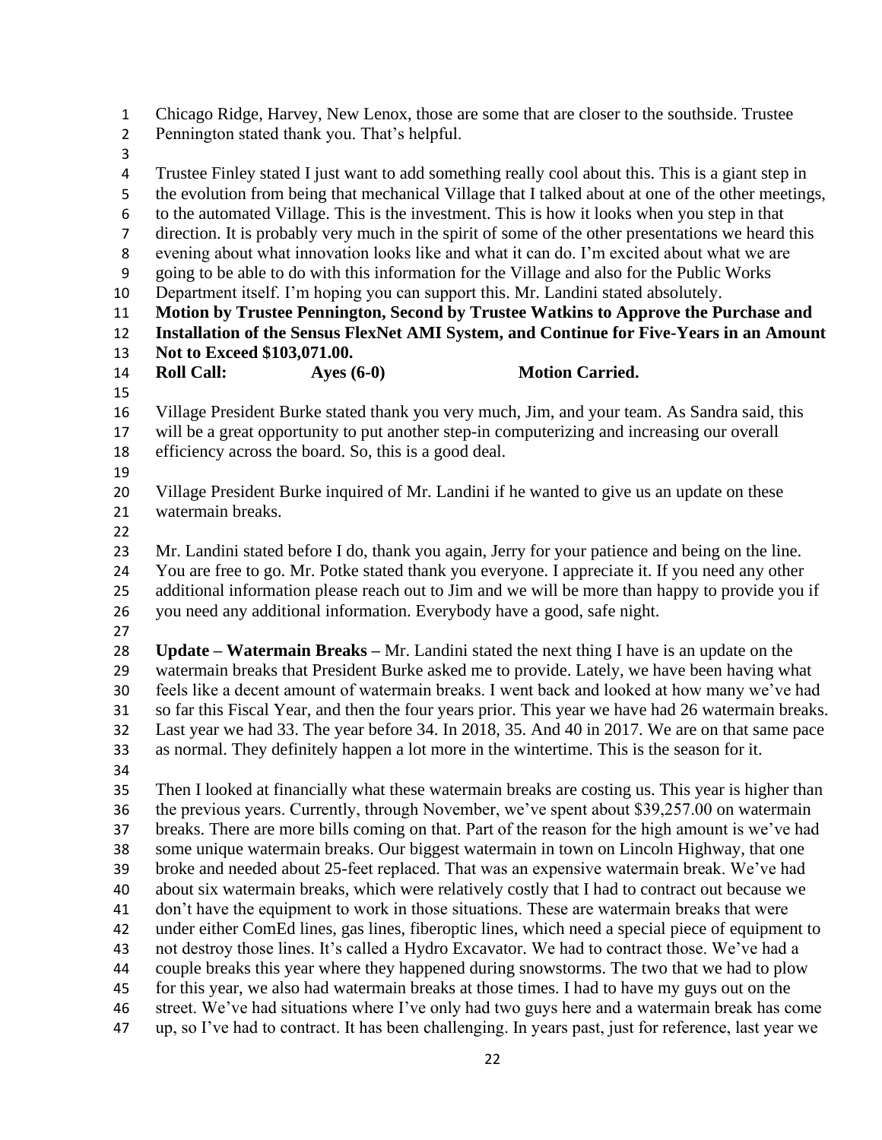Chicago Ridge, Harvey, New Lenox, those are some that are closer to the southside. Trustee Pennington stated thank you. That's helpful. Trustee Finley stated I just want to add something really cool about this. This is a giant step in the evolution from being that mechanical Village that I talked about at one of the other meetings, to the automated Village. This is the investment. This is how it looks when you step in that direction. It is probably very much in the spirit of some of the other presentations we heard this evening about what innovation looks like and what it can do. I'm excited about what we are going to be able to do with this information for the Village and also for the Public Works Department itself. I'm hoping you can support this. Mr. Landini stated absolutely. **Motion by Trustee Pennington, Second by Trustee Watkins to Approve the Purchase and Installation of the Sensus FlexNet AMI System, and Continue for Five-Years in an Amount Not to Exceed \$103,071.00. Roll Call: Ayes (6-0) Motion Carried.** Village President Burke stated thank you very much, Jim, and your team. As Sandra said, this will be a great opportunity to put another step-in computerizing and increasing our overall efficiency across the board. So, this is a good deal. Village President Burke inquired of Mr. Landini if he wanted to give us an update on these watermain breaks. Mr. Landini stated before I do, thank you again, Jerry for your patience and being on the line. You are free to go. Mr. Potke stated thank you everyone. I appreciate it. If you need any other additional information please reach out to Jim and we will be more than happy to provide you if you need any additional information. Everybody have a good, safe night. **Update – Watermain Breaks –** Mr. Landini stated the next thing I have is an update on the watermain breaks that President Burke asked me to provide. Lately, we have been having what feels like a decent amount of watermain breaks. I went back and looked at how many we've had so far this Fiscal Year, and then the four years prior. This year we have had 26 watermain breaks. Last year we had 33. The year before 34. In 2018, 35. And 40 in 2017. We are on that same pace as normal. They definitely happen a lot more in the wintertime. This is the season for it. Then I looked at financially what these watermain breaks are costing us. This year is higher than the previous years. Currently, through November, we've spent about \$39,257.00 on watermain breaks. There are more bills coming on that. Part of the reason for the high amount is we've had some unique watermain breaks. Our biggest watermain in town on Lincoln Highway, that one broke and needed about 25-feet replaced. That was an expensive watermain break. We've had about six watermain breaks, which were relatively costly that I had to contract out because we 41 don't have the equipment to work in those situations. These are watermain breaks that were under either ComEd lines, gas lines, fiberoptic lines, which need a special piece of equipment to not destroy those lines. It's called a Hydro Excavator. We had to contract those. We've had a couple breaks this year where they happened during snowstorms. The two that we had to plow for this year, we also had watermain breaks at those times. I had to have my guys out on the street. We've had situations where I've only had two guys here and a watermain break has come up, so I've had to contract. It has been challenging. In years past, just for reference, last year we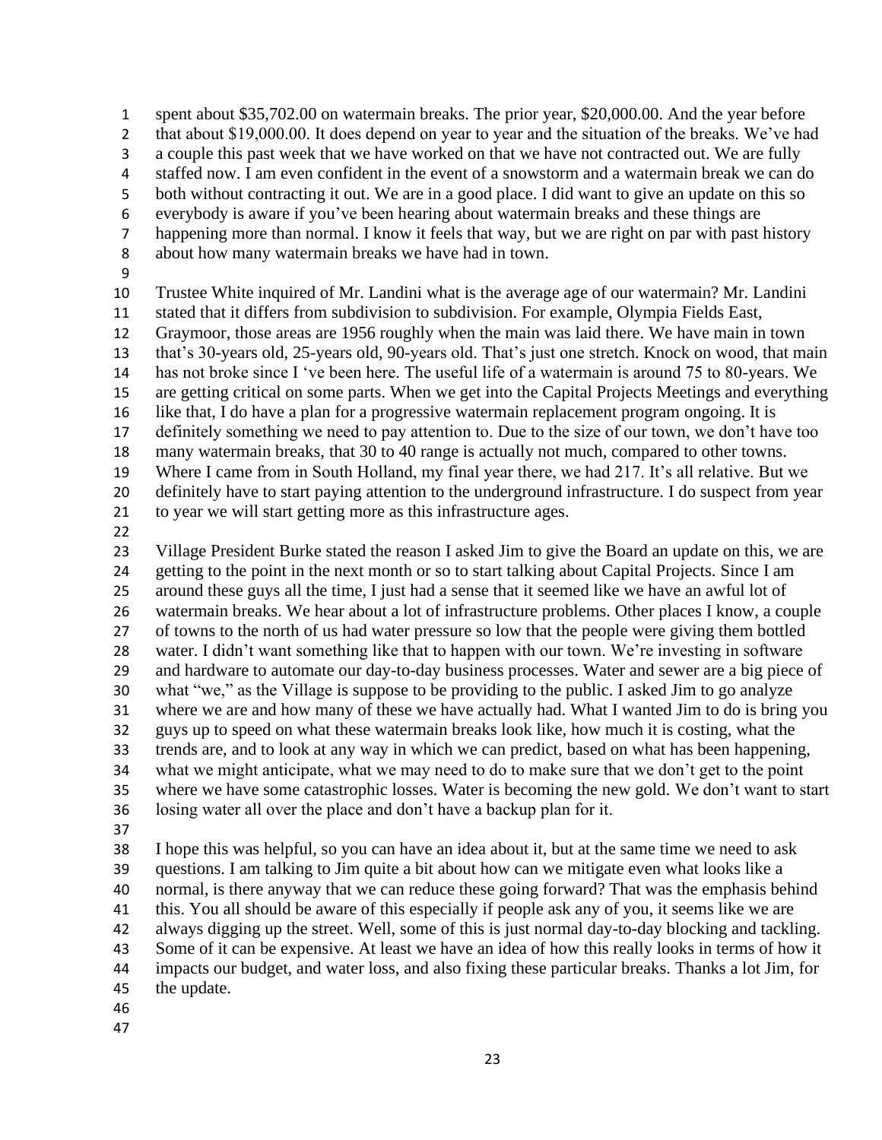spent about \$35,702.00 on watermain breaks. The prior year, \$20,000.00. And the year before 2 that about \$19,000.00. It does depend on year to year and the situation of the breaks. We've had a couple this past week that we have worked on that we have not contracted out. We are fully staffed now. I am even confident in the event of a snowstorm and a watermain break we can do both without contracting it out. We are in a good place. I did want to give an update on this so everybody is aware if you've been hearing about watermain breaks and these things are happening more than normal. I know it feels that way, but we are right on par with past history about how many watermain breaks we have had in town. 

 Trustee White inquired of Mr. Landini what is the average age of our watermain? Mr. Landini stated that it differs from subdivision to subdivision. For example, Olympia Fields East, Graymoor, those areas are 1956 roughly when the main was laid there. We have main in town that's 30-years old, 25-years old, 90-years old. That's just one stretch. Knock on wood, that main has not broke since I 've been here. The useful life of a watermain is around 75 to 80-years. We are getting critical on some parts. When we get into the Capital Projects Meetings and everything like that, I do have a plan for a progressive watermain replacement program ongoing. It is definitely something we need to pay attention to. Due to the size of our town, we don't have too many watermain breaks, that 30 to 40 range is actually not much, compared to other towns. Where I came from in South Holland, my final year there, we had 217. It's all relative. But we definitely have to start paying attention to the underground infrastructure. I do suspect from year to year we will start getting more as this infrastructure ages.

 Village President Burke stated the reason I asked Jim to give the Board an update on this, we are getting to the point in the next month or so to start talking about Capital Projects. Since I am around these guys all the time, I just had a sense that it seemed like we have an awful lot of watermain breaks. We hear about a lot of infrastructure problems. Other places I know, a couple of towns to the north of us had water pressure so low that the people were giving them bottled water. I didn't want something like that to happen with our town. We're investing in software and hardware to automate our day-to-day business processes. Water and sewer are a big piece of what "we," as the Village is suppose to be providing to the public. I asked Jim to go analyze where we are and how many of these we have actually had. What I wanted Jim to do is bring you guys up to speed on what these watermain breaks look like, how much it is costing, what the trends are, and to look at any way in which we can predict, based on what has been happening, what we might anticipate, what we may need to do to make sure that we don't get to the point where we have some catastrophic losses. Water is becoming the new gold. We don't want to start losing water all over the place and don't have a backup plan for it.

 I hope this was helpful, so you can have an idea about it, but at the same time we need to ask questions. I am talking to Jim quite a bit about how can we mitigate even what looks like a normal, is there anyway that we can reduce these going forward? That was the emphasis behind this. You all should be aware of this especially if people ask any of you, it seems like we are always digging up the street. Well, some of this is just normal day-to-day blocking and tackling. Some of it can be expensive. At least we have an idea of how this really looks in terms of how it impacts our budget, and water loss, and also fixing these particular breaks. Thanks a lot Jim, for the update.

- 
-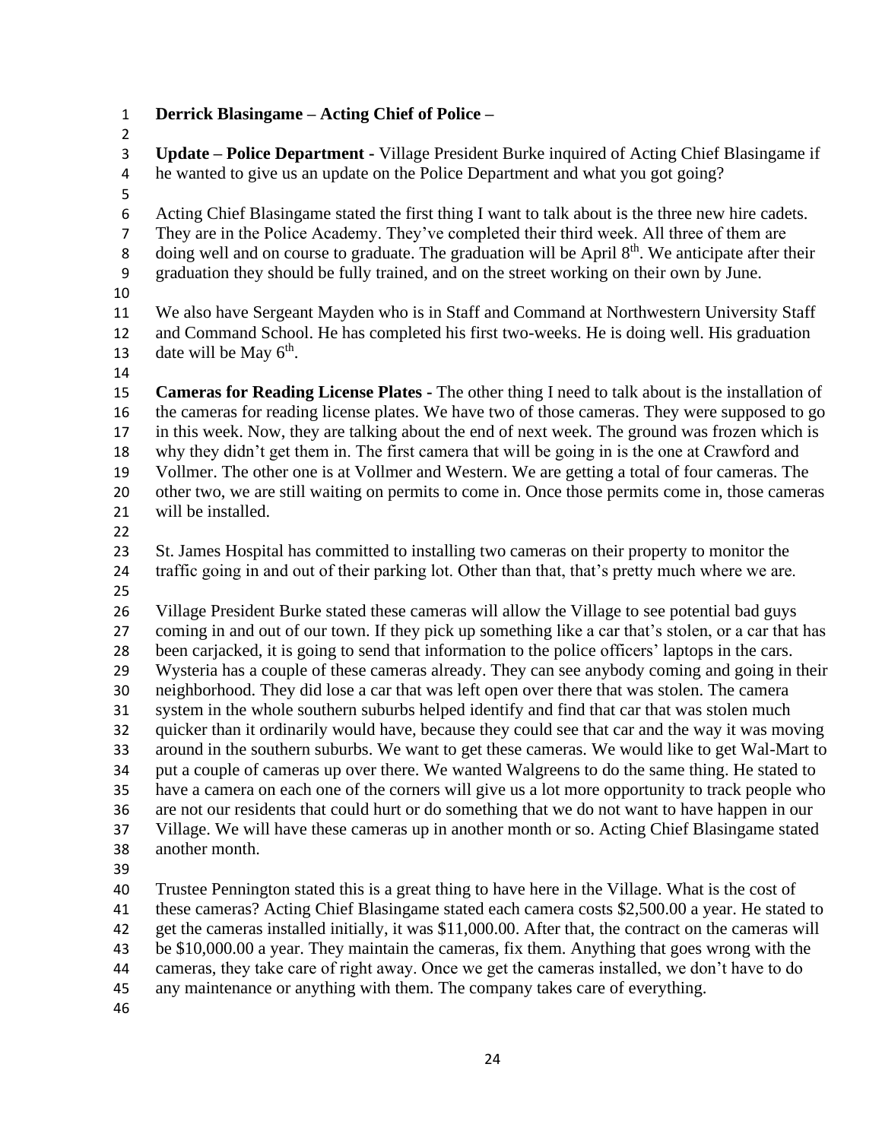**Derrick Blasingame – Acting Chief of Police –**

 **Update – Police Department -** Village President Burke inquired of Acting Chief Blasingame if he wanted to give us an update on the Police Department and what you got going? Acting Chief Blasingame stated the first thing I want to talk about is the three new hire cadets. They are in the Police Academy. They've completed their third week. All three of them are 8 doing well and on course to graduate. The graduation will be April  $8<sup>th</sup>$ . We anticipate after their graduation they should be fully trained, and on the street working on their own by June. We also have Sergeant Mayden who is in Staff and Command at Northwestern University Staff and Command School. He has completed his first two-weeks. He is doing well. His graduation 13 date will be May  $6<sup>th</sup>$ . **Cameras for Reading License Plates -** The other thing I need to talk about is the installation of the cameras for reading license plates. We have two of those cameras. They were supposed to go in this week. Now, they are talking about the end of next week. The ground was frozen which is why they didn't get them in. The first camera that will be going in is the one at Crawford and Vollmer. The other one is at Vollmer and Western. We are getting a total of four cameras. The other two, we are still waiting on permits to come in. Once those permits come in, those cameras will be installed. St. James Hospital has committed to installing two cameras on their property to monitor the traffic going in and out of their parking lot. Other than that, that's pretty much where we are. Village President Burke stated these cameras will allow the Village to see potential bad guys coming in and out of our town. If they pick up something like a car that's stolen, or a car that has been carjacked, it is going to send that information to the police officers' laptops in the cars. Wysteria has a couple of these cameras already. They can see anybody coming and going in their neighborhood. They did lose a car that was left open over there that was stolen. The camera system in the whole southern suburbs helped identify and find that car that was stolen much quicker than it ordinarily would have, because they could see that car and the way it was moving around in the southern suburbs. We want to get these cameras. We would like to get Wal-Mart to put a couple of cameras up over there. We wanted Walgreens to do the same thing. He stated to have a camera on each one of the corners will give us a lot more opportunity to track people who are not our residents that could hurt or do something that we do not want to have happen in our Village. We will have these cameras up in another month or so. Acting Chief Blasingame stated another month. Trustee Pennington stated this is a great thing to have here in the Village. What is the cost of these cameras? Acting Chief Blasingame stated each camera costs \$2,500.00 a year. He stated to get the cameras installed initially, it was \$11,000.00. After that, the contract on the cameras will be \$10,000.00 a year. They maintain the cameras, fix them. Anything that goes wrong with the

cameras, they take care of right away. Once we get the cameras installed, we don't have to do

any maintenance or anything with them. The company takes care of everything.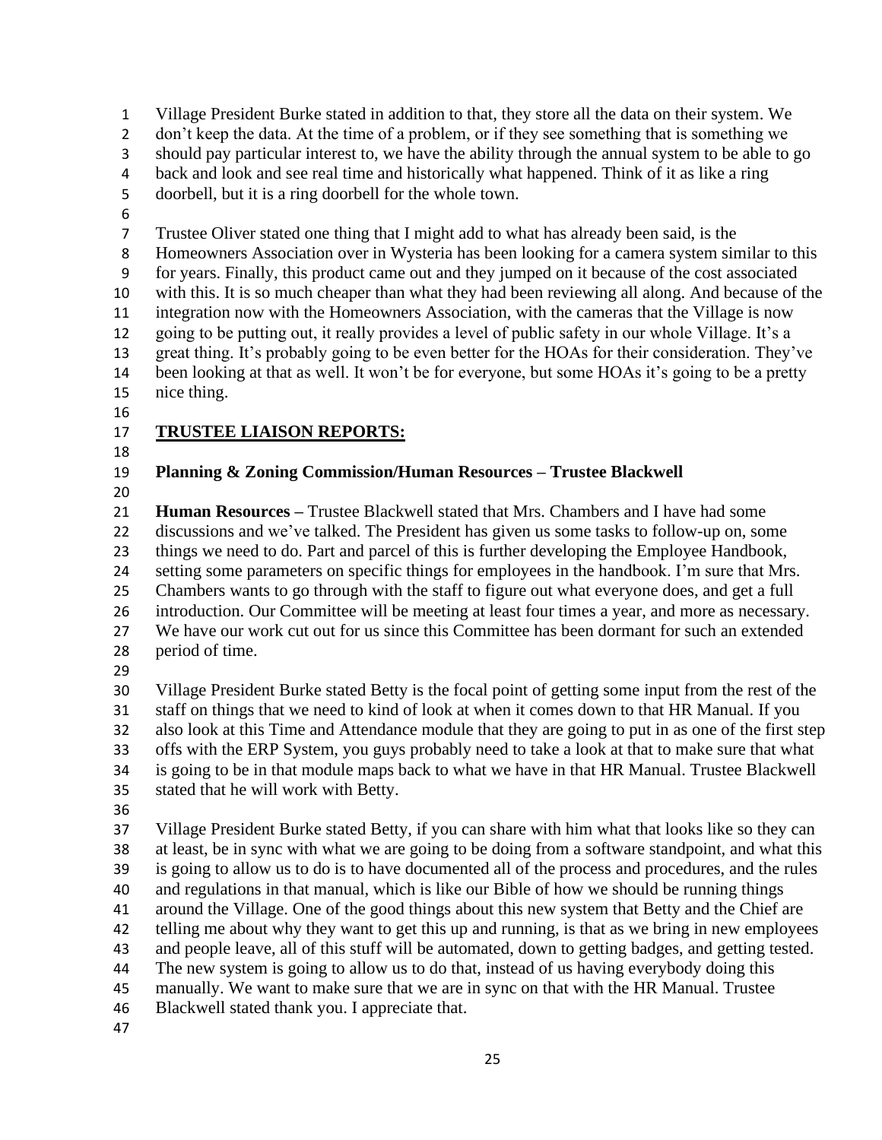Village President Burke stated in addition to that, they store all the data on their system. We 2 don't keep the data. At the time of a problem, or if they see something that is something we should pay particular interest to, we have the ability through the annual system to be able to go back and look and see real time and historically what happened. Think of it as like a ring doorbell, but it is a ring doorbell for the whole town. Trustee Oliver stated one thing that I might add to what has already been said, is the Homeowners Association over in Wysteria has been looking for a camera system similar to this for years. Finally, this product came out and they jumped on it because of the cost associated with this. It is so much cheaper than what they had been reviewing all along. And because of the integration now with the Homeowners Association, with the cameras that the Village is now going to be putting out, it really provides a level of public safety in our whole Village. It's a great thing. It's probably going to be even better for the HOAs for their consideration. They've been looking at that as well. It won't be for everyone, but some HOAs it's going to be a pretty nice thing. **TRUSTEE LIAISON REPORTS: Planning & Zoning Commission/Human Resources – Trustee Blackwell Human Resources –** Trustee Blackwell stated that Mrs. Chambers and I have had some discussions and we've talked. The President has given us some tasks to follow-up on, some things we need to do. Part and parcel of this is further developing the Employee Handbook, setting some parameters on specific things for employees in the handbook. I'm sure that Mrs. Chambers wants to go through with the staff to figure out what everyone does, and get a full introduction. Our Committee will be meeting at least four times a year, and more as necessary. We have our work cut out for us since this Committee has been dormant for such an extended period of time. Village President Burke stated Betty is the focal point of getting some input from the rest of the staff on things that we need to kind of look at when it comes down to that HR Manual. If you also look at this Time and Attendance module that they are going to put in as one of the first step offs with the ERP System, you guys probably need to take a look at that to make sure that what is going to be in that module maps back to what we have in that HR Manual. Trustee Blackwell stated that he will work with Betty. Village President Burke stated Betty, if you can share with him what that looks like so they can at least, be in sync with what we are going to be doing from a software standpoint, and what this is going to allow us to do is to have documented all of the process and procedures, and the rules and regulations in that manual, which is like our Bible of how we should be running things around the Village. One of the good things about this new system that Betty and the Chief are telling me about why they want to get this up and running, is that as we bring in new employees and people leave, all of this stuff will be automated, down to getting badges, and getting tested. The new system is going to allow us to do that, instead of us having everybody doing this manually. We want to make sure that we are in sync on that with the HR Manual. Trustee Blackwell stated thank you. I appreciate that.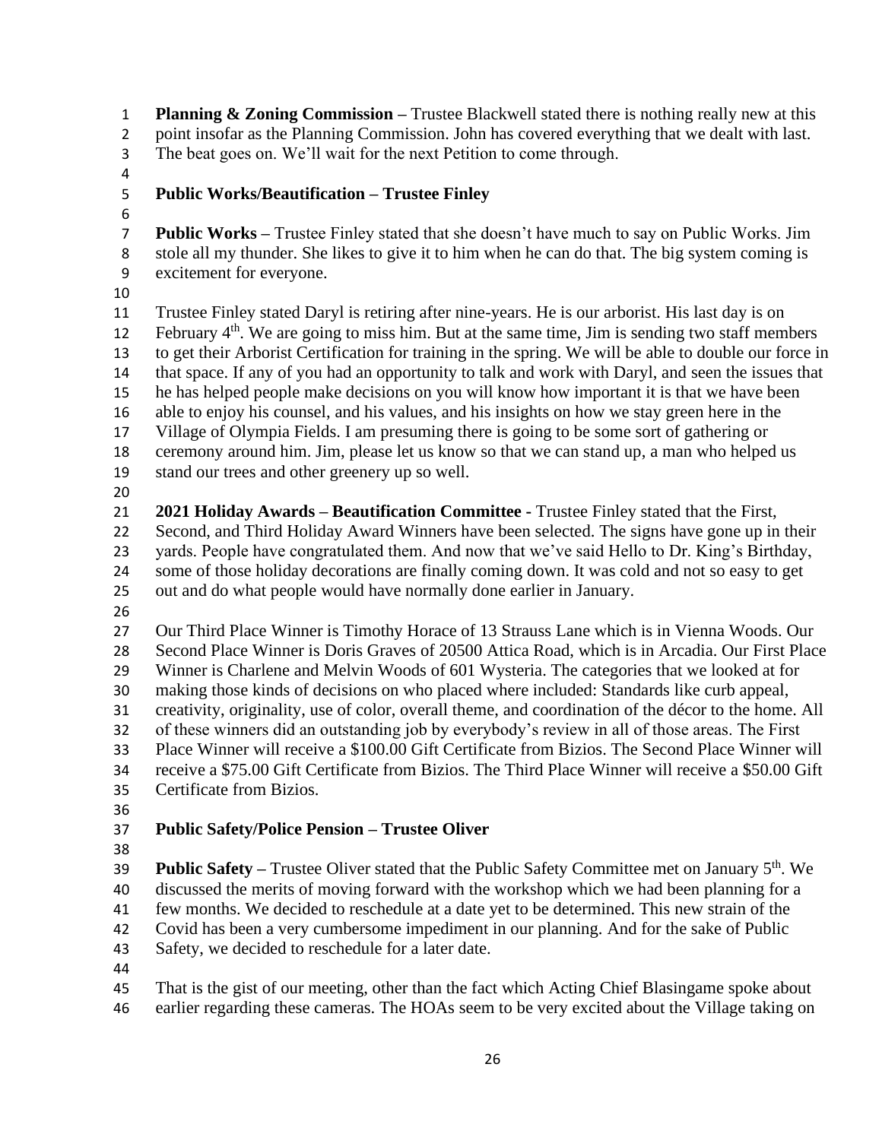**Planning & Zoning Commission –** Trustee Blackwell stated there is nothing really new at this point insofar as the Planning Commission. John has covered everything that we dealt with last. The beat goes on. We'll wait for the next Petition to come through.

## **Public Works/Beautification – Trustee Finley**

 **Public Works –** Trustee Finley stated that she doesn't have much to say on Public Works. Jim stole all my thunder. She likes to give it to him when he can do that. The big system coming is excitement for everyone.

 Trustee Finley stated Daryl is retiring after nine-years. He is our arborist. His last day is on 12 . February  $4<sup>th</sup>$ . We are going to miss him. But at the same time, Jim is sending two staff members to get their Arborist Certification for training in the spring. We will be able to double our force in that space. If any of you had an opportunity to talk and work with Daryl, and seen the issues that he has helped people make decisions on you will know how important it is that we have been able to enjoy his counsel, and his values, and his insights on how we stay green here in the Village of Olympia Fields. I am presuming there is going to be some sort of gathering or ceremony around him. Jim, please let us know so that we can stand up, a man who helped us stand our trees and other greenery up so well. 

- **2021 Holiday Awards – Beautification Committee -** Trustee Finley stated that the First, Second, and Third Holiday Award Winners have been selected. The signs have gone up in their yards. People have congratulated them. And now that we've said Hello to Dr. King's Birthday, some of those holiday decorations are finally coming down. It was cold and not so easy to get out and do what people would have normally done earlier in January.
- 

 Our Third Place Winner is Timothy Horace of 13 Strauss Lane which is in Vienna Woods. Our Second Place Winner is Doris Graves of 20500 Attica Road, which is in Arcadia. Our First Place Winner is Charlene and Melvin Woods of 601 Wysteria. The categories that we looked at for making those kinds of decisions on who placed where included: Standards like curb appeal, creativity, originality, use of color, overall theme, and coordination of the décor to the home. All of these winners did an outstanding job by everybody's review in all of those areas. The First Place Winner will receive a \$100.00 Gift Certificate from Bizios. The Second Place Winner will receive a \$75.00 Gift Certificate from Bizios. The Third Place Winner will receive a \$50.00 Gift Certificate from Bizios.

# **Public Safety/Police Pension – Trustee Oliver**

**Public Safety –** Trustee Oliver stated that the Public Safety Committee met on January 5<sup>th</sup>. We discussed the merits of moving forward with the workshop which we had been planning for a few months. We decided to reschedule at a date yet to be determined. This new strain of the Covid has been a very cumbersome impediment in our planning. And for the sake of Public Safety, we decided to reschedule for a later date.

 That is the gist of our meeting, other than the fact which Acting Chief Blasingame spoke about earlier regarding these cameras. The HOAs seem to be very excited about the Village taking on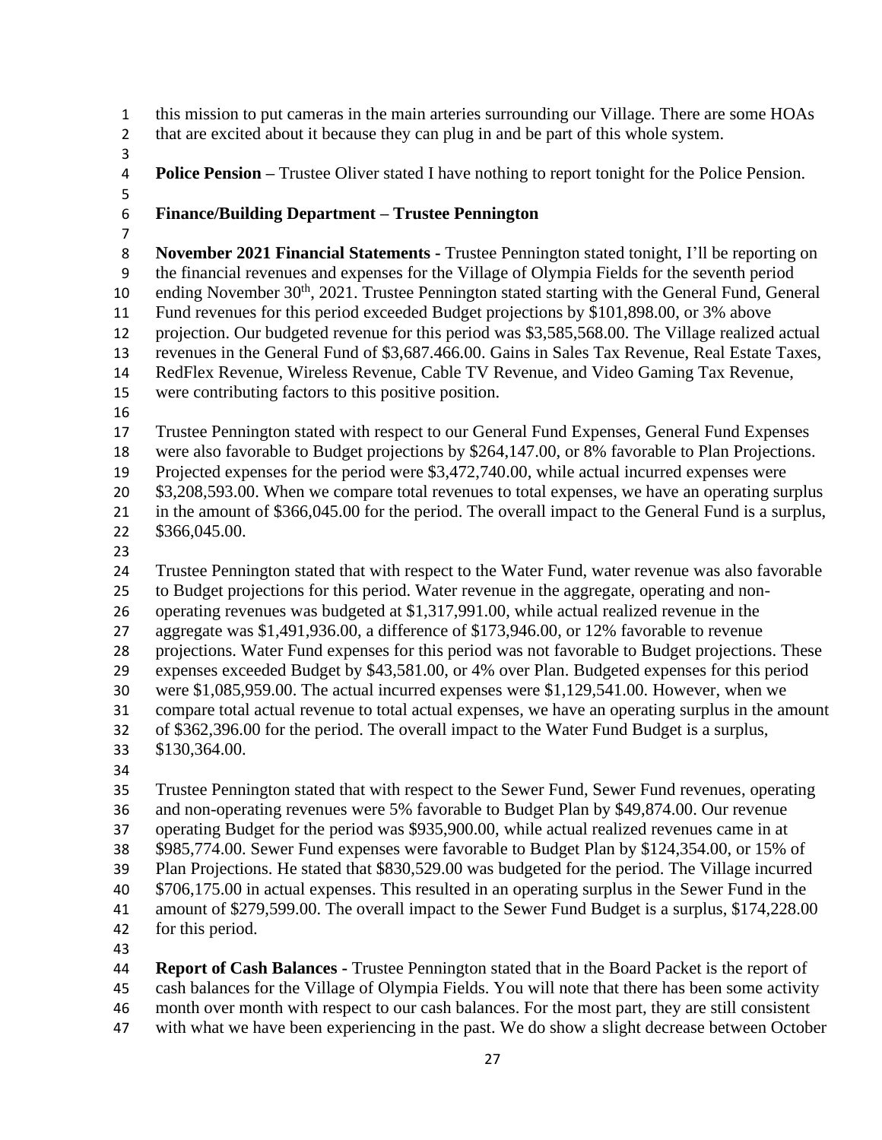this mission to put cameras in the main arteries surrounding our Village. There are some HOAs

- that are excited about it because they can plug in and be part of this whole system.
- 

**Police Pension –** Trustee Oliver stated I have nothing to report tonight for the Police Pension.

### **Finance/Building Department – Trustee Pennington**

 **November 2021 Financial Statements -** Trustee Pennington stated tonight, I'll be reporting on the financial revenues and expenses for the Village of Olympia Fields for the seventh period 10 ending November 30<sup>th</sup>, 2021. Trustee Pennington stated starting with the General Fund, General Fund revenues for this period exceeded Budget projections by \$101,898.00, or 3% above projection. Our budgeted revenue for this period was \$3,585,568.00. The Village realized actual revenues in the General Fund of \$3,687.466.00. Gains in Sales Tax Revenue, Real Estate Taxes, RedFlex Revenue, Wireless Revenue, Cable TV Revenue, and Video Gaming Tax Revenue, were contributing factors to this positive position.

 Trustee Pennington stated with respect to our General Fund Expenses, General Fund Expenses were also favorable to Budget projections by \$264,147.00, or 8% favorable to Plan Projections. Projected expenses for the period were \$3,472,740.00, while actual incurred expenses were 20 \$3,208,593.00. When we compare total revenues to total expenses, we have an operating surplus in the amount of \$366,045.00 for the period. The overall impact to the General Fund is a surplus, \$366,045.00.

Trustee Pennington stated that with respect to the Water Fund, water revenue was also favorable

to Budget projections for this period. Water revenue in the aggregate, operating and non-

 operating revenues was budgeted at \$1,317,991.00, while actual realized revenue in the aggregate was \$1,491,936.00, a difference of \$173,946.00, or 12% favorable to revenue

projections. Water Fund expenses for this period was not favorable to Budget projections. These

expenses exceeded Budget by \$43,581.00, or 4% over Plan. Budgeted expenses for this period

were \$1,085,959.00. The actual incurred expenses were \$1,129,541.00. However, when we

compare total actual revenue to total actual expenses, we have an operating surplus in the amount

of \$362,396.00 for the period. The overall impact to the Water Fund Budget is a surplus,

- \$130,364.00.
- 

 Trustee Pennington stated that with respect to the Sewer Fund, Sewer Fund revenues, operating and non-operating revenues were 5% favorable to Budget Plan by \$49,874.00. Our revenue operating Budget for the period was \$935,900.00, while actual realized revenues came in at \$985,774.00. Sewer Fund expenses were favorable to Budget Plan by \$124,354.00, or 15% of Plan Projections. He stated that \$830,529.00 was budgeted for the period. The Village incurred \$706,175.00 in actual expenses. This resulted in an operating surplus in the Sewer Fund in the amount of \$279,599.00. The overall impact to the Sewer Fund Budget is a surplus, \$174,228.00 for this period.

 **Report of Cash Balances -** Trustee Pennington stated that in the Board Packet is the report of cash balances for the Village of Olympia Fields. You will note that there has been some activity month over month with respect to our cash balances. For the most part, they are still consistent with what we have been experiencing in the past. We do show a slight decrease between October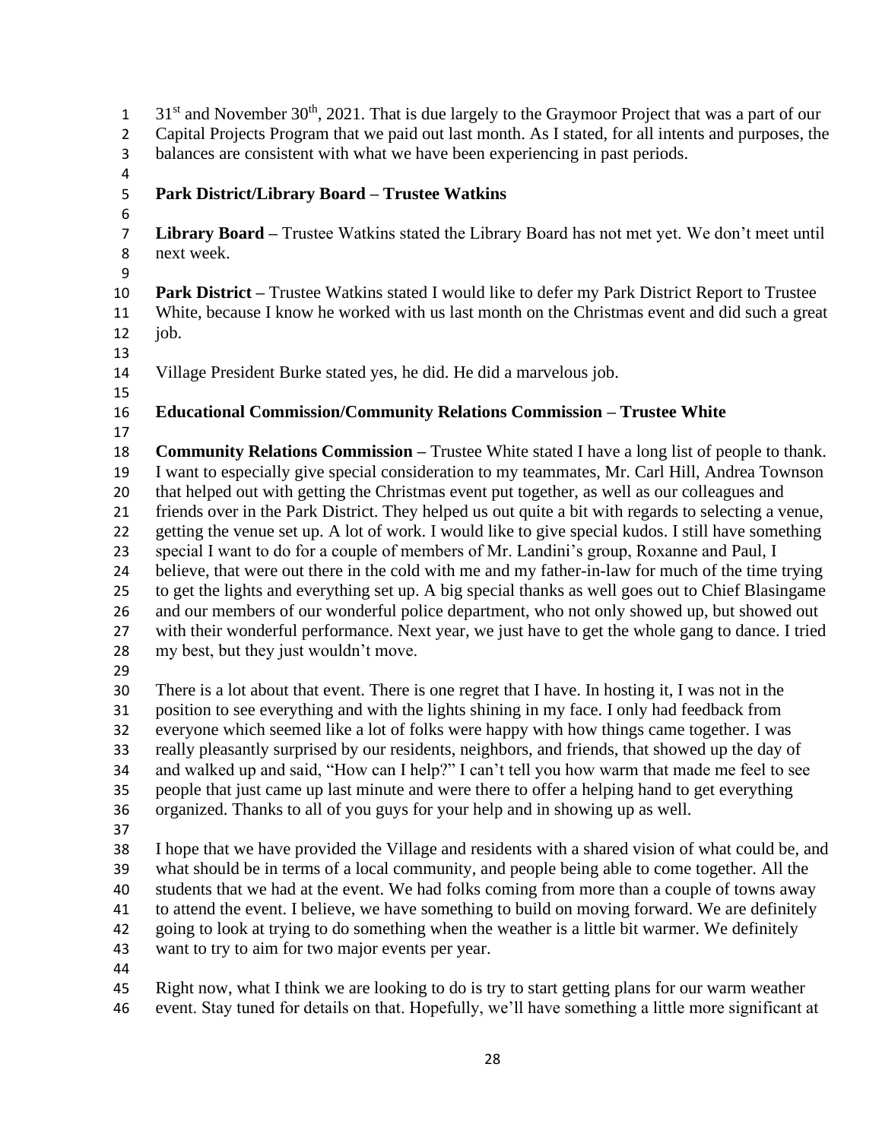$31<sup>st</sup>$  and November 30<sup>th</sup>, 2021. That is due largely to the Graymoor Project that was a part of our Capital Projects Program that we paid out last month. As I stated, for all intents and purposes, the balances are consistent with what we have been experiencing in past periods. **Park District/Library Board – Trustee Watkins Library Board –** Trustee Watkins stated the Library Board has not met yet. We don't meet until next week. **Park District –** Trustee Watkins stated I would like to defer my Park District Report to Trustee White, because I know he worked with us last month on the Christmas event and did such a great job. Village President Burke stated yes, he did. He did a marvelous job. **Educational Commission/Community Relations Commission – Trustee White Community Relations Commission –** Trustee White stated I have a long list of people to thank. I want to especially give special consideration to my teammates, Mr. Carl Hill, Andrea Townson that helped out with getting the Christmas event put together, as well as our colleagues and friends over in the Park District. They helped us out quite a bit with regards to selecting a venue, getting the venue set up. A lot of work. I would like to give special kudos. I still have something special I want to do for a couple of members of Mr. Landini's group, Roxanne and Paul, I believe, that were out there in the cold with me and my father-in-law for much of the time trying to get the lights and everything set up. A big special thanks as well goes out to Chief Blasingame and our members of our wonderful police department, who not only showed up, but showed out with their wonderful performance. Next year, we just have to get the whole gang to dance. I tried my best, but they just wouldn't move. There is a lot about that event. There is one regret that I have. In hosting it, I was not in the position to see everything and with the lights shining in my face. I only had feedback from everyone which seemed like a lot of folks were happy with how things came together. I was really pleasantly surprised by our residents, neighbors, and friends, that showed up the day of and walked up and said, "How can I help?" I can't tell you how warm that made me feel to see people that just came up last minute and were there to offer a helping hand to get everything organized. Thanks to all of you guys for your help and in showing up as well. I hope that we have provided the Village and residents with a shared vision of what could be, and what should be in terms of a local community, and people being able to come together. All the students that we had at the event. We had folks coming from more than a couple of towns away to attend the event. I believe, we have something to build on moving forward. We are definitely going to look at trying to do something when the weather is a little bit warmer. We definitely want to try to aim for two major events per year. Right now, what I think we are looking to do is try to start getting plans for our warm weather event. Stay tuned for details on that. Hopefully, we'll have something a little more significant at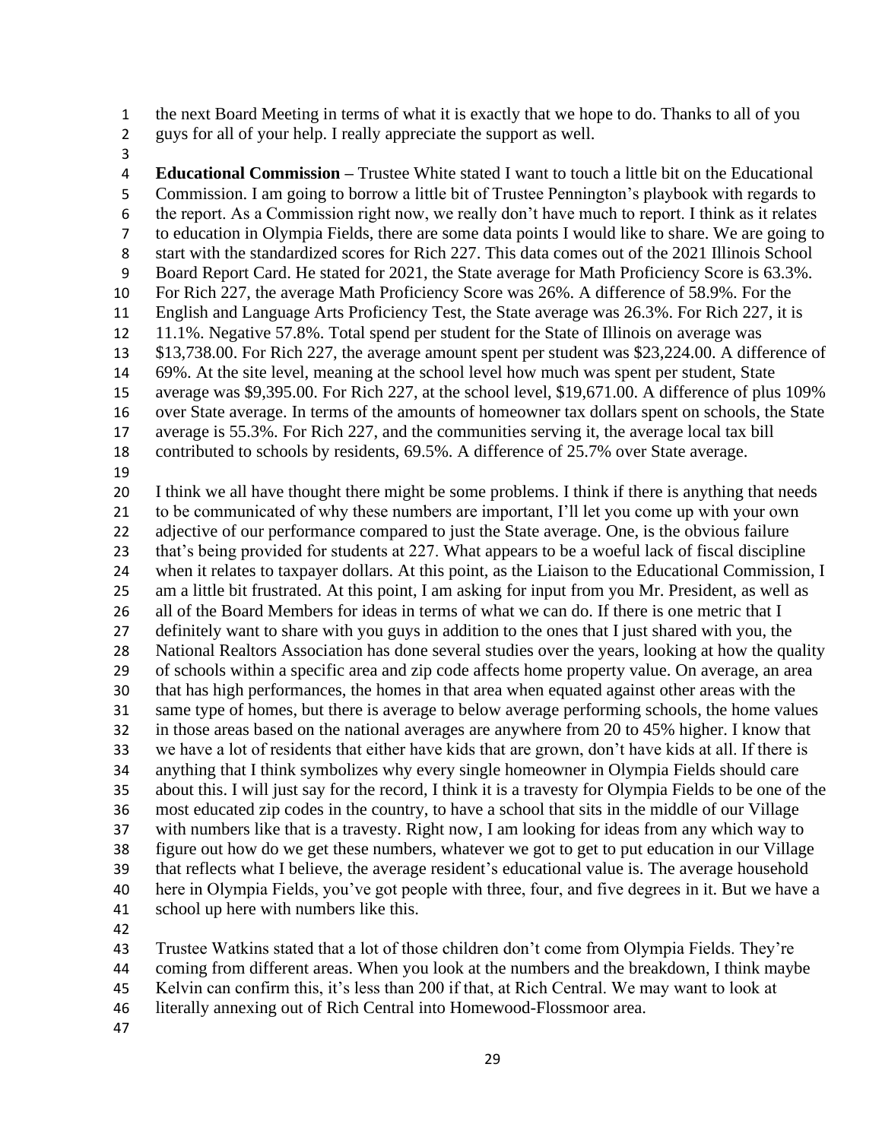the next Board Meeting in terms of what it is exactly that we hope to do. Thanks to all of you

- guys for all of your help. I really appreciate the support as well.
- 

 **Educational Commission –** Trustee White stated I want to touch a little bit on the Educational Commission. I am going to borrow a little bit of Trustee Pennington's playbook with regards to the report. As a Commission right now, we really don't have much to report. I think as it relates to education in Olympia Fields, there are some data points I would like to share. We are going to start with the standardized scores for Rich 227. This data comes out of the 2021 Illinois School Board Report Card. He stated for 2021, the State average for Math Proficiency Score is 63.3%. For Rich 227, the average Math Proficiency Score was 26%. A difference of 58.9%. For the English and Language Arts Proficiency Test, the State average was 26.3%. For Rich 227, it is 11.1%. Negative 57.8%. Total spend per student for the State of Illinois on average was \$13,738.00. For Rich 227, the average amount spent per student was \$23,224.00. A difference of 69%. At the site level, meaning at the school level how much was spent per student, State average was \$9,395.00. For Rich 227, at the school level, \$19,671.00. A difference of plus 109% over State average. In terms of the amounts of homeowner tax dollars spent on schools, the State average is 55.3%. For Rich 227, and the communities serving it, the average local tax bill contributed to schools by residents, 69.5%. A difference of 25.7% over State average. I think we all have thought there might be some problems. I think if there is anything that needs to be communicated of why these numbers are important, I'll let you come up with your own 22 adjective of our performance compared to just the State average. One, is the obvious failure that's being provided for students at 227. What appears to be a woeful lack of fiscal discipline when it relates to taxpayer dollars. At this point, as the Liaison to the Educational Commission, I am a little bit frustrated. At this point, I am asking for input from you Mr. President, as well as all of the Board Members for ideas in terms of what we can do. If there is one metric that I definitely want to share with you guys in addition to the ones that I just shared with you, the National Realtors Association has done several studies over the years, looking at how the quality of schools within a specific area and zip code affects home property value. On average, an area that has high performances, the homes in that area when equated against other areas with the same type of homes, but there is average to below average performing schools, the home values in those areas based on the national averages are anywhere from 20 to 45% higher. I know that

 we have a lot of residents that either have kids that are grown, don't have kids at all. If there is anything that I think symbolizes why every single homeowner in Olympia Fields should care about this. I will just say for the record, I think it is a travesty for Olympia Fields to be one of the most educated zip codes in the country, to have a school that sits in the middle of our Village with numbers like that is a travesty. Right now, I am looking for ideas from any which way to figure out how do we get these numbers, whatever we got to get to put education in our Village that reflects what I believe, the average resident's educational value is. The average household

 here in Olympia Fields, you've got people with three, four, and five degrees in it. But we have a school up here with numbers like this.

Trustee Watkins stated that a lot of those children don't come from Olympia Fields. They're

coming from different areas. When you look at the numbers and the breakdown, I think maybe

- Kelvin can confirm this, it's less than 200 if that, at Rich Central. We may want to look at
- literally annexing out of Rich Central into Homewood-Flossmoor area.
-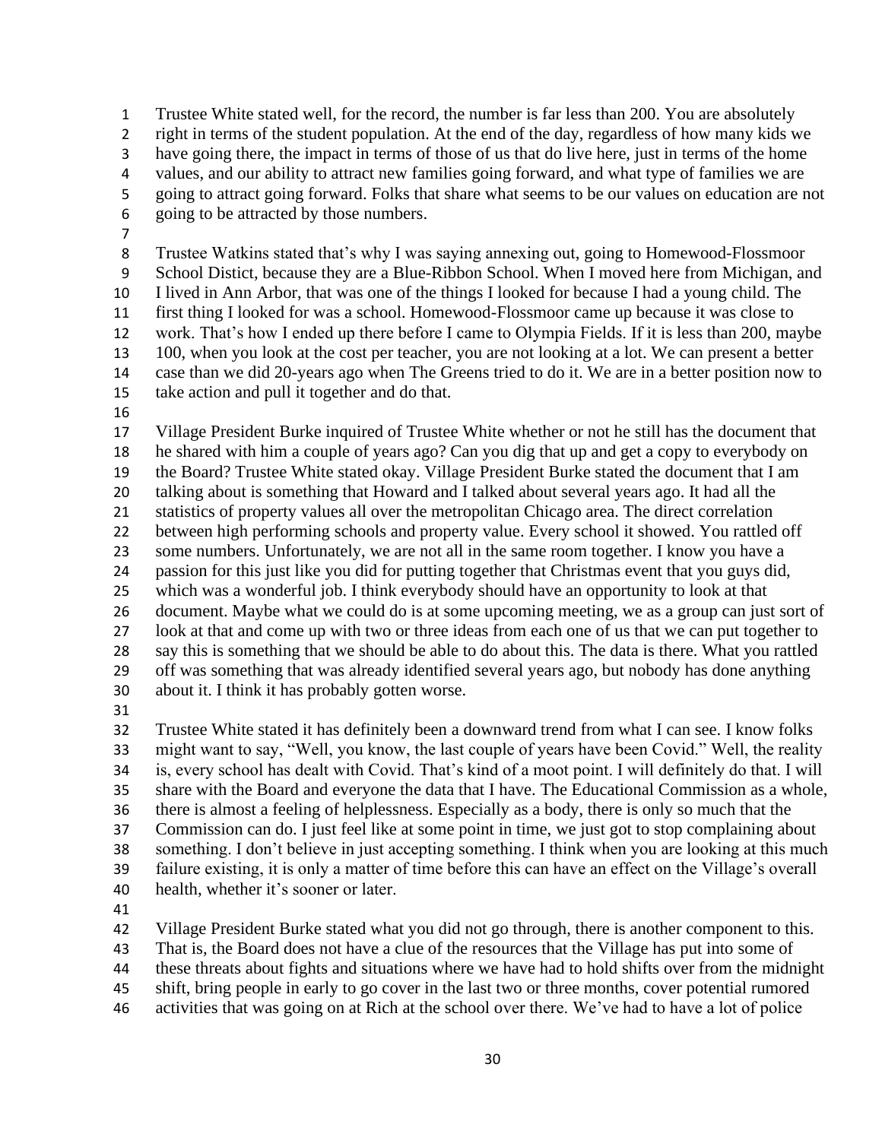Trustee White stated well, for the record, the number is far less than 200. You are absolutely right in terms of the student population. At the end of the day, regardless of how many kids we have going there, the impact in terms of those of us that do live here, just in terms of the home values, and our ability to attract new families going forward, and what type of families we are going to attract going forward. Folks that share what seems to be our values on education are not going to be attracted by those numbers.

 Trustee Watkins stated that's why I was saying annexing out, going to Homewood-Flossmoor School Distict, because they are a Blue-Ribbon School. When I moved here from Michigan, and I lived in Ann Arbor, that was one of the things I looked for because I had a young child. The first thing I looked for was a school. Homewood-Flossmoor came up because it was close to work. That's how I ended up there before I came to Olympia Fields. If it is less than 200, maybe 100, when you look at the cost per teacher, you are not looking at a lot. We can present a better case than we did 20-years ago when The Greens tried to do it. We are in a better position now to take action and pull it together and do that.

 Village President Burke inquired of Trustee White whether or not he still has the document that he shared with him a couple of years ago? Can you dig that up and get a copy to everybody on the Board? Trustee White stated okay. Village President Burke stated the document that I am talking about is something that Howard and I talked about several years ago. It had all the statistics of property values all over the metropolitan Chicago area. The direct correlation between high performing schools and property value. Every school it showed. You rattled off some numbers. Unfortunately, we are not all in the same room together. I know you have a passion for this just like you did for putting together that Christmas event that you guys did, which was a wonderful job. I think everybody should have an opportunity to look at that document. Maybe what we could do is at some upcoming meeting, we as a group can just sort of look at that and come up with two or three ideas from each one of us that we can put together to say this is something that we should be able to do about this. The data is there. What you rattled off was something that was already identified several years ago, but nobody has done anything about it. I think it has probably gotten worse.

 Trustee White stated it has definitely been a downward trend from what I can see. I know folks might want to say, "Well, you know, the last couple of years have been Covid." Well, the reality is, every school has dealt with Covid. That's kind of a moot point. I will definitely do that. I will share with the Board and everyone the data that I have. The Educational Commission as a whole, there is almost a feeling of helplessness. Especially as a body, there is only so much that the Commission can do. I just feel like at some point in time, we just got to stop complaining about something. I don't believe in just accepting something. I think when you are looking at this much failure existing, it is only a matter of time before this can have an effect on the Village's overall health, whether it's sooner or later.

Village President Burke stated what you did not go through, there is another component to this.

That is, the Board does not have a clue of the resources that the Village has put into some of

these threats about fights and situations where we have had to hold shifts over from the midnight

shift, bring people in early to go cover in the last two or three months, cover potential rumored

activities that was going on at Rich at the school over there. We've had to have a lot of police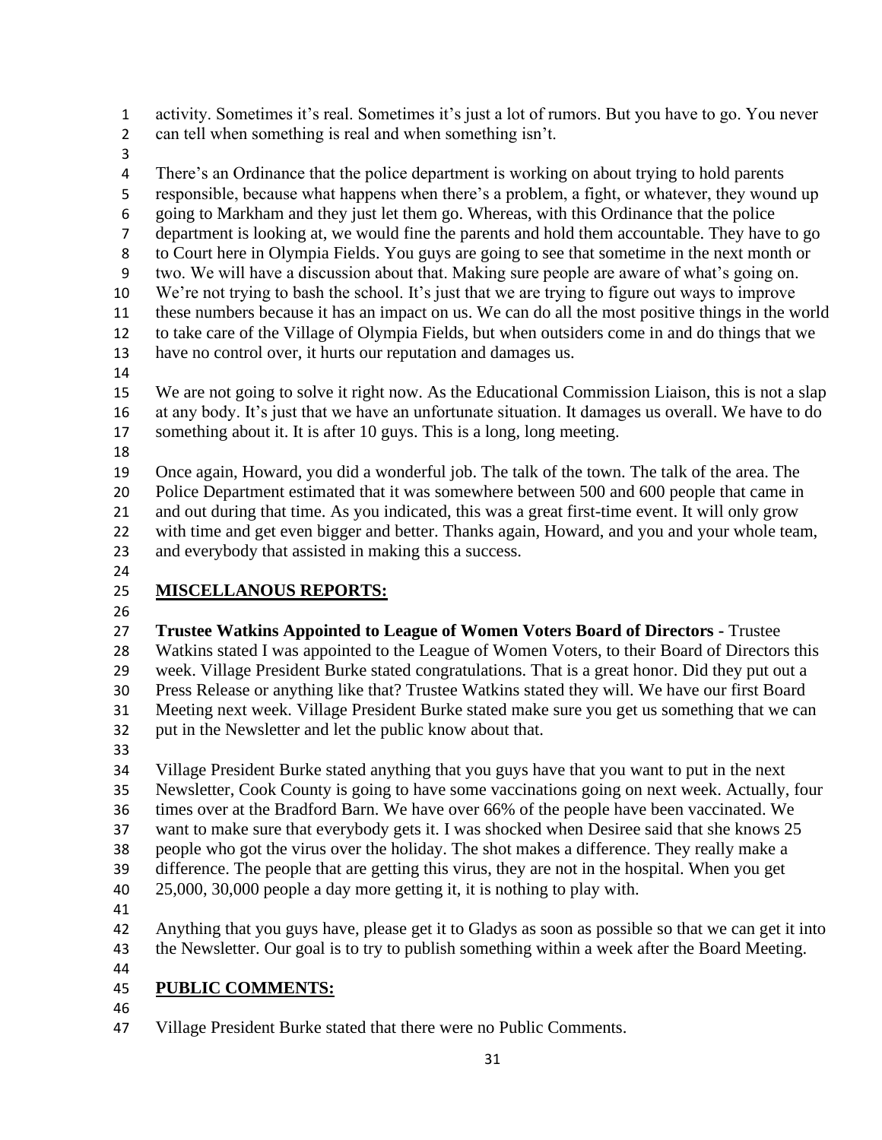activity. Sometimes it's real. Sometimes it's just a lot of rumors. But you have to go. You never can tell when something is real and when something isn't.

 There's an Ordinance that the police department is working on about trying to hold parents responsible, because what happens when there's a problem, a fight, or whatever, they wound up going to Markham and they just let them go. Whereas, with this Ordinance that the police department is looking at, we would fine the parents and hold them accountable. They have to go to Court here in Olympia Fields. You guys are going to see that sometime in the next month or two. We will have a discussion about that. Making sure people are aware of what's going on. We're not trying to bash the school. It's just that we are trying to figure out ways to improve these numbers because it has an impact on us. We can do all the most positive things in the world to take care of the Village of Olympia Fields, but when outsiders come in and do things that we have no control over, it hurts our reputation and damages us.

 We are not going to solve it right now. As the Educational Commission Liaison, this is not a slap at any body. It's just that we have an unfortunate situation. It damages us overall. We have to do something about it. It is after 10 guys. This is a long, long meeting.

 Once again, Howard, you did a wonderful job. The talk of the town. The talk of the area. The Police Department estimated that it was somewhere between 500 and 600 people that came in and out during that time. As you indicated, this was a great first-time event. It will only grow with time and get even bigger and better. Thanks again, Howard, and you and your whole team, and everybody that assisted in making this a success.

# **MISCELLANOUS REPORTS:**

 **Trustee Watkins Appointed to League of Women Voters Board of Directors -** Trustee Watkins stated I was appointed to the League of Women Voters, to their Board of Directors this week. Village President Burke stated congratulations. That is a great honor. Did they put out a Press Release or anything like that? Trustee Watkins stated they will. We have our first Board Meeting next week. Village President Burke stated make sure you get us something that we can put in the Newsletter and let the public know about that.

 Village President Burke stated anything that you guys have that you want to put in the next Newsletter, Cook County is going to have some vaccinations going on next week. Actually, four times over at the Bradford Barn. We have over 66% of the people have been vaccinated. We want to make sure that everybody gets it. I was shocked when Desiree said that she knows 25 people who got the virus over the holiday. The shot makes a difference. They really make a difference. The people that are getting this virus, they are not in the hospital. When you get 25,000, 30,000 people a day more getting it, it is nothing to play with.

 Anything that you guys have, please get it to Gladys as soon as possible so that we can get it into 43 the Newsletter. Our goal is to try to publish something within a week after the Board Meeting.

## **PUBLIC COMMENTS:**

Village President Burke stated that there were no Public Comments.